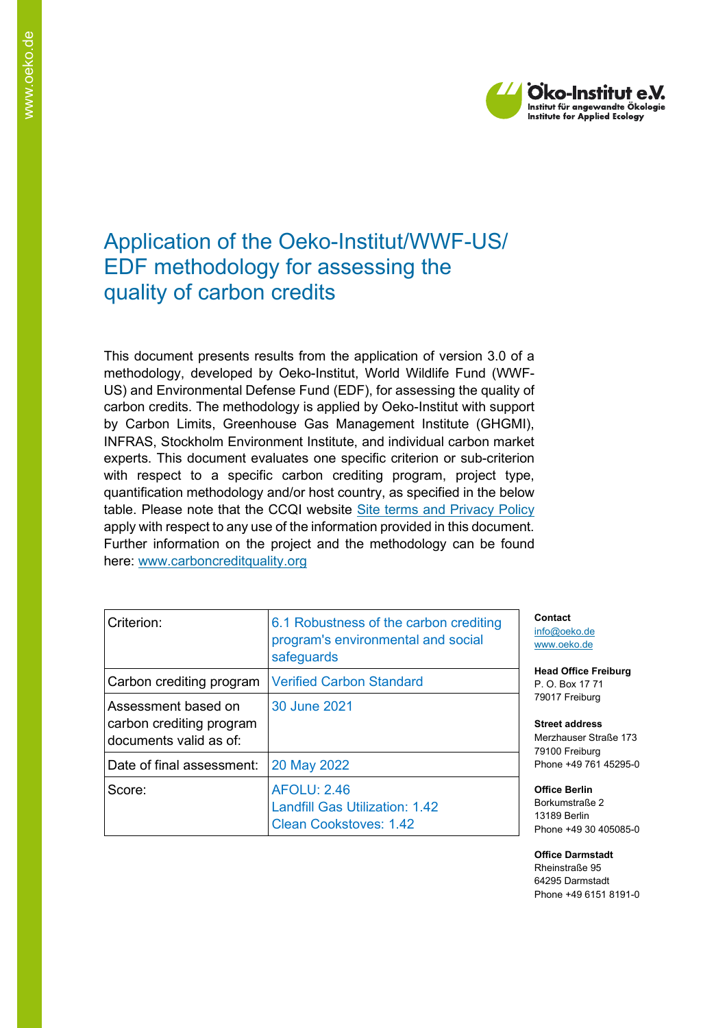

# Application of the Oeko-Institut/WWF-US/ EDF methodology for assessing the quality of carbon credits

This document presents results from the application of version 3.0 of a methodology, developed by Oeko-Institut, World Wildlife Fund (WWF-US) and Environmental Defense Fund (EDF), for assessing the quality of carbon credits. The methodology is applied by Oeko-Institut with support by Carbon Limits, Greenhouse Gas Management Institute (GHGMI), INFRAS, Stockholm Environment Institute, and individual carbon market experts. This document evaluates one specific criterion or sub-criterion with respect to a specific carbon crediting program, project type, quantification methodology and/or host country, as specified in the below table. Please note that the CCQI website [Site terms and Privacy Policy](https://carboncreditquality.org/terms.html) apply with respect to any use of the information provided in this document. Further information on the project and the methodology can be found here: [www.carboncreditquality.org](http://www.carboncreditquality.org/)

| Criterion:                                                                | 6.1 Robustness of the carbon crediting<br>program's environmental and social<br>safeguards   |
|---------------------------------------------------------------------------|----------------------------------------------------------------------------------------------|
| Carbon crediting program                                                  | <b>Verified Carbon Standard</b>                                                              |
| Assessment based on<br>carbon crediting program<br>documents valid as of: | 30 June 2021                                                                                 |
| Date of final assessment:                                                 | 20 May 2022                                                                                  |
| Score:                                                                    | <b>AFOLU: 2.46</b><br><b>Landfill Gas Utilization: 1.42</b><br><b>Clean Cookstoves: 1.42</b> |

**Contact** [info@oeko.de](mailto:info@oeko.de) [www.oeko.de](http://www.oeko.de/)

**Head Office Freiburg** P. O. Box 17 71 79017 Freiburg

**Street address** Merzhauser Straße 173 79100 Freiburg Phone +49 761 45295-0

**Office Berlin** Borkumstraße 2 13189 Berlin Phone +49 30 405085-0

**Office Darmstadt** Rheinstraße 95 64295 Darmstadt Phone +49 6151 8191-0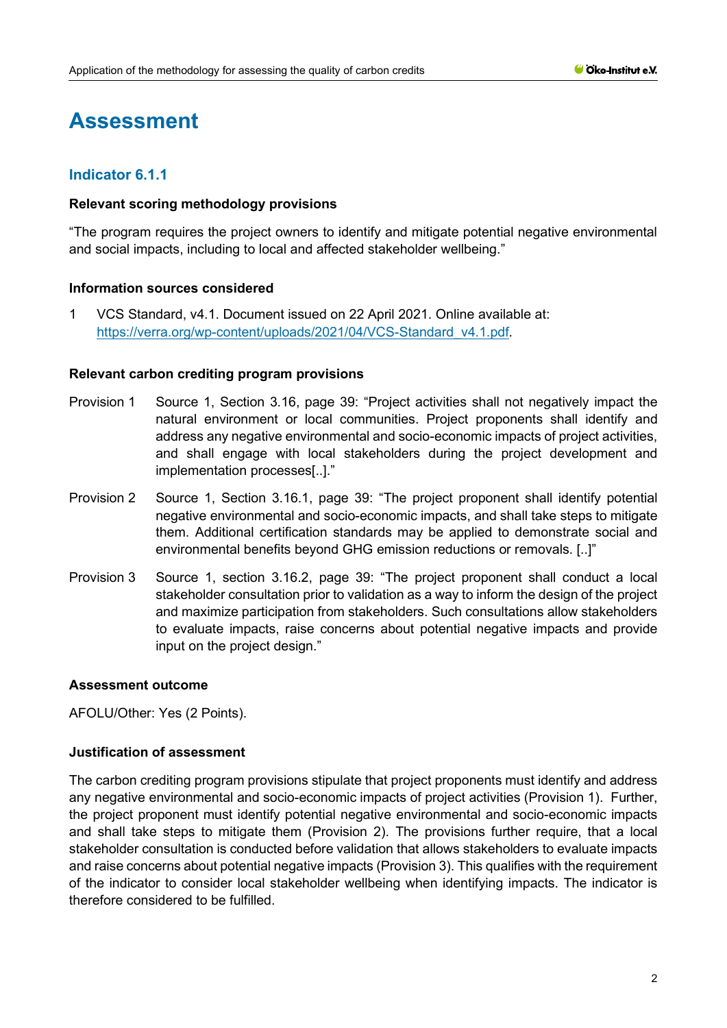# **Assessment**

# **Indicator 6.1.1**

## **Relevant scoring methodology provisions**

"The program requires the project owners to identify and mitigate potential negative environmental and social impacts, including to local and affected stakeholder wellbeing."

## **Information sources considered**

1 VCS Standard, v4.1. Document issued on 22 April 2021. Online available at: [https://verra.org/wp-content/uploads/2021/04/VCS-Standard\\_v4.1.pdf.](https://verra.org/wp-content/uploads/2021/04/VCS-Standard_v4.1.pdf)

#### **Relevant carbon crediting program provisions**

- Provision 1 Source 1, Section 3.16, page 39: "Project activities shall not negatively impact the natural environment or local communities. Project proponents shall identify and address any negative environmental and socio-economic impacts of project activities, and shall engage with local stakeholders during the project development and implementation processes[..]."
- Provision 2 Source 1, Section 3.16.1, page 39: "The project proponent shall identify potential negative environmental and socio-economic impacts, and shall take steps to mitigate them. Additional certification standards may be applied to demonstrate social and environmental benefits beyond GHG emission reductions or removals. [..]"
- Provision 3 Source 1, section 3.16.2, page 39: "The project proponent shall conduct a local stakeholder consultation prior to validation as a way to inform the design of the project and maximize participation from stakeholders. Such consultations allow stakeholders to evaluate impacts, raise concerns about potential negative impacts and provide input on the project design."

#### **Assessment outcome**

AFOLU/Other: Yes (2 Points).

# **Justification of assessment**

The carbon crediting program provisions stipulate that project proponents must identify and address any negative environmental and socio-economic impacts of project activities (Provision 1). Further, the project proponent must identify potential negative environmental and socio-economic impacts and shall take steps to mitigate them (Provision 2). The provisions further require, that a local stakeholder consultation is conducted before validation that allows stakeholders to evaluate impacts and raise concerns about potential negative impacts (Provision 3). This qualifies with the requirement of the indicator to consider local stakeholder wellbeing when identifying impacts. The indicator is therefore considered to be fulfilled.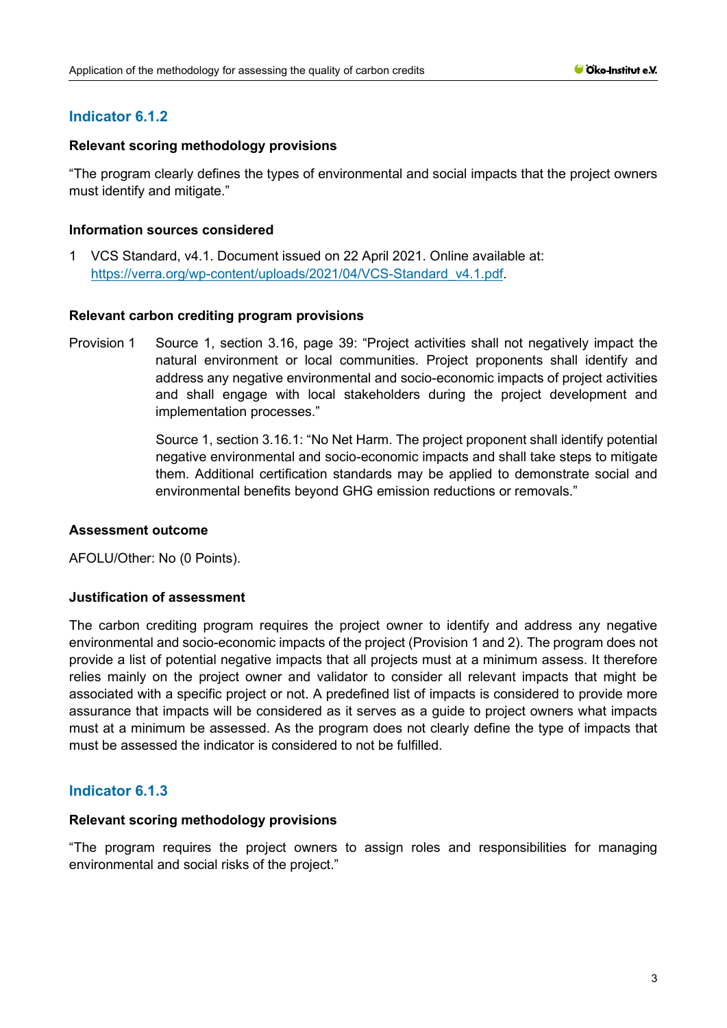## **Relevant scoring methodology provisions**

"The program clearly defines the types of environmental and social impacts that the project owners must identify and mitigate."

## **Information sources considered**

1 VCS Standard, v4.1. Document issued on 22 April 2021. Online available at: [https://verra.org/wp-content/uploads/2021/04/VCS-Standard\\_v4.1.pdf.](https://verra.org/wp-content/uploads/2021/04/VCS-Standard_v4.1.pdf)

## **Relevant carbon crediting program provisions**

Provision 1 Source 1, section 3.16, page 39: "Project activities shall not negatively impact the natural environment or local communities. Project proponents shall identify and address any negative environmental and socio-economic impacts of project activities and shall engage with local stakeholders during the project development and implementation processes."

> Source 1, section 3.16.1: "No Net Harm. The project proponent shall identify potential negative environmental and socio-economic impacts and shall take steps to mitigate them. Additional certification standards may be applied to demonstrate social and environmental benefits beyond GHG emission reductions or removals."

# **Assessment outcome**

AFOLU/Other: No (0 Points).

# **Justification of assessment**

The carbon crediting program requires the project owner to identify and address any negative environmental and socio-economic impacts of the project (Provision 1 and 2). The program does not provide a list of potential negative impacts that all projects must at a minimum assess. It therefore relies mainly on the project owner and validator to consider all relevant impacts that might be associated with a specific project or not. A predefined list of impacts is considered to provide more assurance that impacts will be considered as it serves as a guide to project owners what impacts must at a minimum be assessed. As the program does not clearly define the type of impacts that must be assessed the indicator is considered to not be fulfilled.

# **Indicator 6.1.3**

#### **Relevant scoring methodology provisions**

"The program requires the project owners to assign roles and responsibilities for managing environmental and social risks of the project."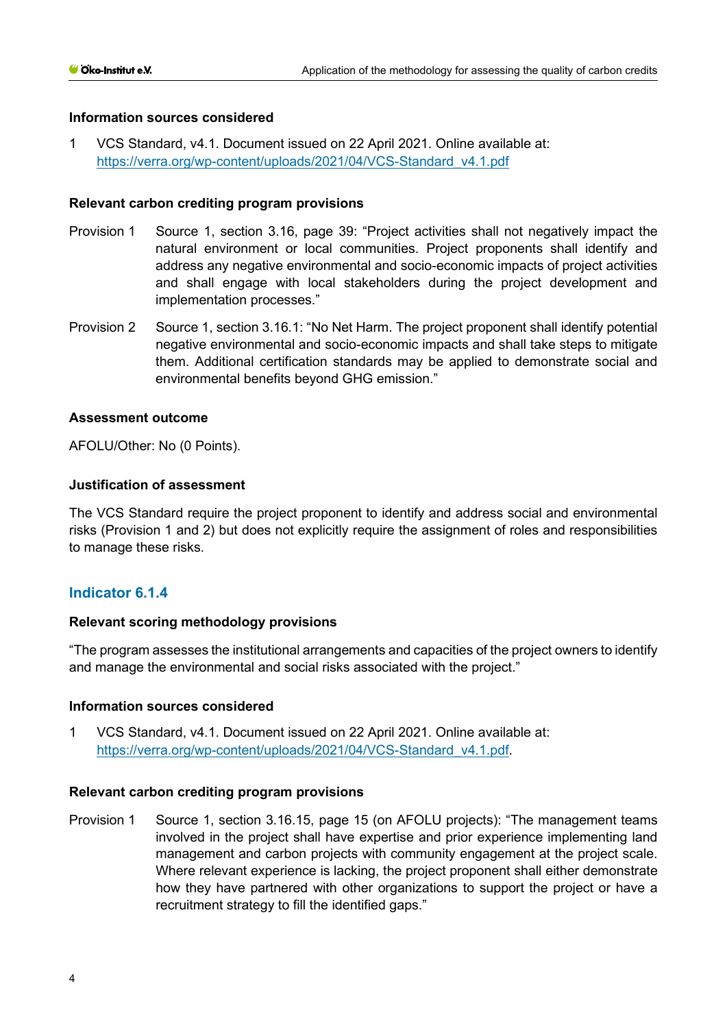1 VCS Standard, v4.1. Document issued on 22 April 2021. Online available at: [https://verra.org/wp-content/uploads/2021/04/VCS-Standard\\_v4.1.pdf](https://verra.org/wp-content/uploads/2021/04/VCS-Standard_v4.1.pdf)

## **Relevant carbon crediting program provisions**

- Provision 1 Source 1, section 3.16, page 39: "Project activities shall not negatively impact the natural environment or local communities. Project proponents shall identify and address any negative environmental and socio-economic impacts of project activities and shall engage with local stakeholders during the project development and implementation processes."
- Provision 2 Source 1, section 3.16.1: "No Net Harm. The project proponent shall identify potential negative environmental and socio-economic impacts and shall take steps to mitigate them. Additional certification standards may be applied to demonstrate social and environmental benefits beyond GHG emission."

## **Assessment outcome**

AFOLU/Other: No (0 Points).

## **Justification of assessment**

The VCS Standard require the project proponent to identify and address social and environmental risks (Provision 1 and 2) but does not explicitly require the assignment of roles and responsibilities to manage these risks.

# **Indicator 6.1.4**

# **Relevant scoring methodology provisions**

"The program assesses the institutional arrangements and capacities of the project owners to identify and manage the environmental and social risks associated with the project."

#### **Information sources considered**

1 VCS Standard, v4.1. Document issued on 22 April 2021. Online available at: [https://verra.org/wp-content/uploads/2021/04/VCS-Standard\\_v4.1.pdf.](https://verra.org/wp-content/uploads/2021/04/VCS-Standard_v4.1.pdf)

#### **Relevant carbon crediting program provisions**

Provision 1 Source 1, section 3.16.15, page 15 (on AFOLU projects): "The management teams involved in the project shall have expertise and prior experience implementing land management and carbon projects with community engagement at the project scale. Where relevant experience is lacking, the project proponent shall either demonstrate how they have partnered with other organizations to support the project or have a recruitment strategy to fill the identified gaps."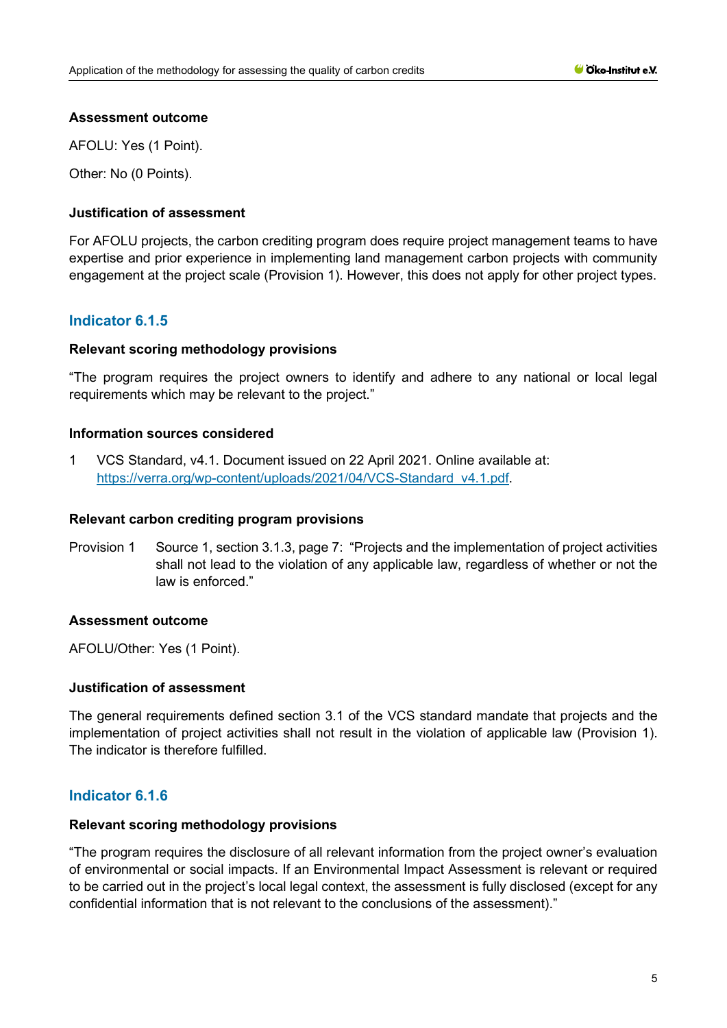## **Assessment outcome**

AFOLU: Yes (1 Point).

Other: No (0 Points).

## **Justification of assessment**

For AFOLU projects, the carbon crediting program does require project management teams to have expertise and prior experience in implementing land management carbon projects with community engagement at the project scale (Provision 1). However, this does not apply for other project types.

# **Indicator 6.1.5**

## **Relevant scoring methodology provisions**

"The program requires the project owners to identify and adhere to any national or local legal requirements which may be relevant to the project."

#### **Information sources considered**

1 VCS Standard, v4.1. Document issued on 22 April 2021. Online available at: [https://verra.org/wp-content/uploads/2021/04/VCS-Standard\\_v4.1.pdf.](https://verra.org/wp-content/uploads/2021/04/VCS-Standard_v4.1.pdf)

#### **Relevant carbon crediting program provisions**

Provision 1 Source 1, section 3.1.3, page 7: "Projects and the implementation of project activities shall not lead to the violation of any applicable law, regardless of whether or not the law is enforced."

#### **Assessment outcome**

AFOLU/Other: Yes (1 Point).

#### **Justification of assessment**

The general requirements defined section 3.1 of the VCS standard mandate that projects and the implementation of project activities shall not result in the violation of applicable law (Provision 1). The indicator is therefore fulfilled.

# **Indicator 6.1.6**

#### **Relevant scoring methodology provisions**

"The program requires the disclosure of all relevant information from the project owner's evaluation of environmental or social impacts. If an Environmental Impact Assessment is relevant or required to be carried out in the project's local legal context, the assessment is fully disclosed (except for any confidential information that is not relevant to the conclusions of the assessment)."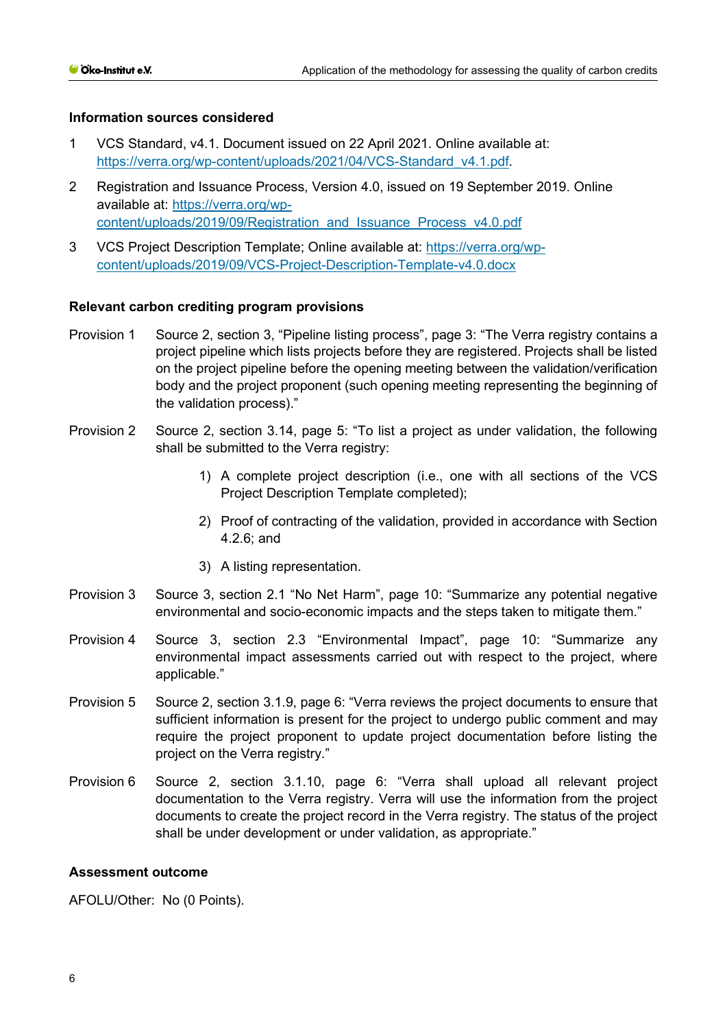- 1 VCS Standard, v4.1. Document issued on 22 April 2021. Online available at: [https://verra.org/wp-content/uploads/2021/04/VCS-Standard\\_v4.1.pdf.](https://verra.org/wp-content/uploads/2021/04/VCS-Standard_v4.1.pdf)
- 2 Registration and Issuance Process, Version 4.0, issued on 19 September 2019. Online available at: [https://verra.org/wp](https://verra.org/wp-content/uploads/2019/09/Registration_and_Issuance_Process_v4.0.pdf)[content/uploads/2019/09/Registration\\_and\\_Issuance\\_Process\\_v4.0.pdf](https://verra.org/wp-content/uploads/2019/09/Registration_and_Issuance_Process_v4.0.pdf)
- 3 VCS Project Description Template; Online available at: [https://verra.org/wp](https://verra.org/wp-content/uploads/2019/09/VCS-Project-Description-Template-v4.0.docx)[content/uploads/2019/09/VCS-Project-Description-Template-v4.0.docx](https://verra.org/wp-content/uploads/2019/09/VCS-Project-Description-Template-v4.0.docx)

## **Relevant carbon crediting program provisions**

- Provision 1 Source 2, section 3, "Pipeline listing process", page 3: "The Verra registry contains a project pipeline which lists projects before they are registered. Projects shall be listed on the project pipeline before the opening meeting between the validation/verification body and the project proponent (such opening meeting representing the beginning of the validation process)."
- Provision 2 Source 2, section 3.14, page 5: "To list a project as under validation, the following shall be submitted to the Verra registry:
	- 1) A complete project description (i.e., one with all sections of the VCS Project Description Template completed);
	- 2) Proof of contracting of the validation, provided in accordance with Section 4.2.6; and
	- 3) A listing representation.
- Provision 3 Source 3, section 2.1 "No Net Harm", page 10: "Summarize any potential negative environmental and socio-economic impacts and the steps taken to mitigate them."
- Provision 4 Source 3, section 2.3 "Environmental Impact", page 10: "Summarize any environmental impact assessments carried out with respect to the project, where applicable."
- Provision 5 Source 2, section 3.1.9, page 6: "Verra reviews the project documents to ensure that sufficient information is present for the project to undergo public comment and may require the project proponent to update project documentation before listing the project on the Verra registry."
- Provision 6 Source 2, section 3.1.10, page 6: "Verra shall upload all relevant project documentation to the Verra registry. Verra will use the information from the project documents to create the project record in the Verra registry. The status of the project shall be under development or under validation, as appropriate."

#### **Assessment outcome**

AFOLU/Other: No (0 Points).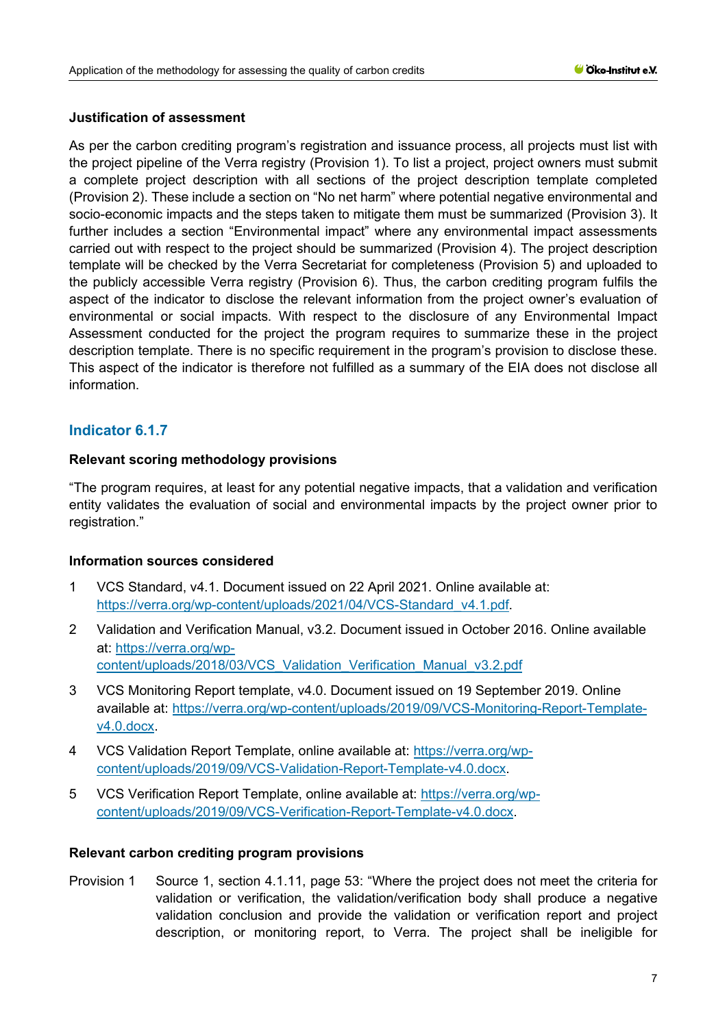# **Justification of assessment**

As per the carbon crediting program's registration and issuance process, all projects must list with the project pipeline of the Verra registry (Provision 1). To list a project, project owners must submit a complete project description with all sections of the project description template completed (Provision 2). These include a section on "No net harm" where potential negative environmental and socio-economic impacts and the steps taken to mitigate them must be summarized (Provision 3). It further includes a section "Environmental impact" where any environmental impact assessments carried out with respect to the project should be summarized (Provision 4). The project description template will be checked by the Verra Secretariat for completeness (Provision 5) and uploaded to the publicly accessible Verra registry (Provision 6). Thus, the carbon crediting program fulfils the aspect of the indicator to disclose the relevant information from the project owner's evaluation of environmental or social impacts. With respect to the disclosure of any Environmental Impact Assessment conducted for the project the program requires to summarize these in the project description template. There is no specific requirement in the program's provision to disclose these. This aspect of the indicator is therefore not fulfilled as a summary of the EIA does not disclose all information.

# **Indicator 6.1.7**

# **Relevant scoring methodology provisions**

"The program requires, at least for any potential negative impacts, that a validation and verification entity validates the evaluation of social and environmental impacts by the project owner prior to registration."

# **Information sources considered**

- 1 VCS Standard, v4.1. Document issued on 22 April 2021. Online available at: [https://verra.org/wp-content/uploads/2021/04/VCS-Standard\\_v4.1.pdf.](https://verra.org/wp-content/uploads/2021/04/VCS-Standard_v4.1.pdf)
- 2 Validation and Verification Manual, v3.2. Document issued in October 2016. Online available at: [https://verra.org/wp](https://verra.org/wp-content/uploads/2018/03/VCS_Validation_Verification_Manual_v3.2.pdf)[content/uploads/2018/03/VCS\\_Validation\\_Verification\\_Manual\\_v3.2.pdf](https://verra.org/wp-content/uploads/2018/03/VCS_Validation_Verification_Manual_v3.2.pdf)
- 3 VCS Monitoring Report template, v4.0. Document issued on 19 September 2019. Online available at: [https://verra.org/wp-content/uploads/2019/09/VCS-Monitoring-Report-Template](https://verra.org/wp-content/uploads/2019/09/VCS-Monitoring-Report-Template-v4.0.docx)[v4.0.docx.](https://verra.org/wp-content/uploads/2019/09/VCS-Monitoring-Report-Template-v4.0.docx)
- 4 VCS Validation Report Template, online available at: [https://verra.org/wp](https://verra.org/wp-content/uploads/2019/09/VCS-Validation-Report-Template-v4.0.docx)[content/uploads/2019/09/VCS-Validation-Report-Template-v4.0.docx.](https://verra.org/wp-content/uploads/2019/09/VCS-Validation-Report-Template-v4.0.docx)
- 5 VCS Verification Report Template, online available at: [https://verra.org/wp](https://verra.org/wp-content/uploads/2019/09/VCS-Verification-Report-Template-v4.0.docx)[content/uploads/2019/09/VCS-Verification-Report-Template-v4.0.docx.](https://verra.org/wp-content/uploads/2019/09/VCS-Verification-Report-Template-v4.0.docx)

# **Relevant carbon crediting program provisions**

Provision 1 Source 1, section 4.1.11, page 53: "Where the project does not meet the criteria for validation or verification, the validation/verification body shall produce a negative validation conclusion and provide the validation or verification report and project description, or monitoring report, to Verra. The project shall be ineligible for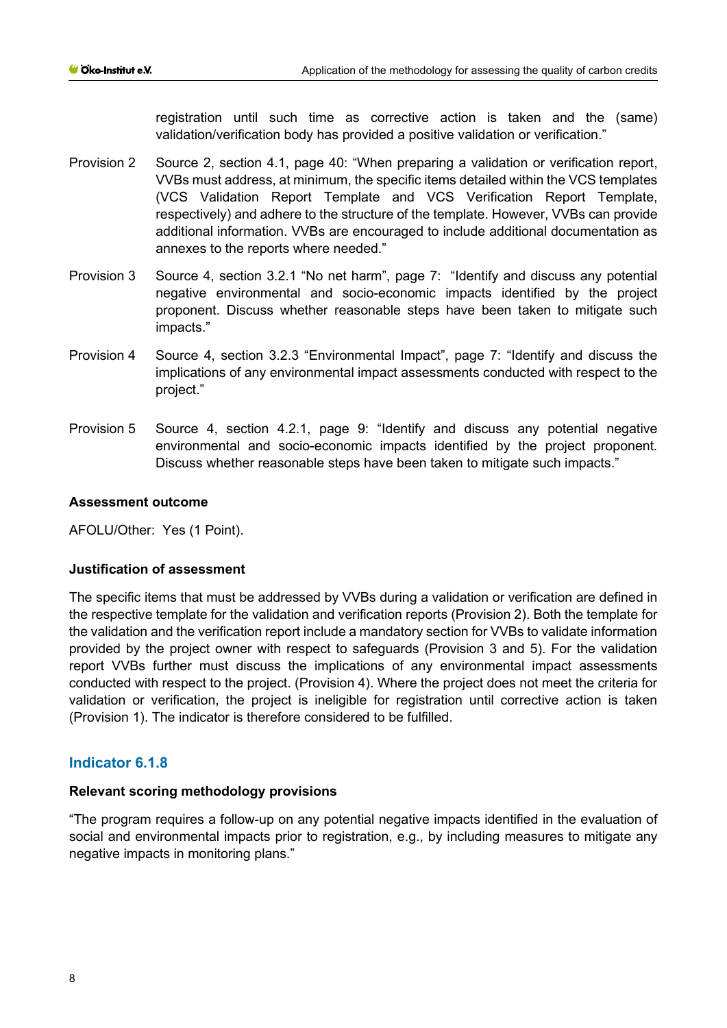registration until such time as corrective action is taken and the (same) validation/verification body has provided a positive validation or verification."

- Provision 2 Source 2, section 4.1, page 40: "When preparing a validation or verification report, VVBs must address, at minimum, the specific items detailed within the VCS templates (VCS Validation Report Template and VCS Verification Report Template, respectively) and adhere to the structure of the template. However, VVBs can provide additional information. VVBs are encouraged to include additional documentation as annexes to the reports where needed."
- Provision 3 Source 4, section 3.2.1 "No net harm", page 7: "Identify and discuss any potential negative environmental and socio-economic impacts identified by the project proponent. Discuss whether reasonable steps have been taken to mitigate such impacts."
- Provision 4 Source 4, section 3.2.3 "Environmental Impact", page 7: "Identify and discuss the implications of any environmental impact assessments conducted with respect to the project."
- Provision 5 Source 4, section 4.2.1, page 9: "Identify and discuss any potential negative environmental and socio-economic impacts identified by the project proponent. Discuss whether reasonable steps have been taken to mitigate such impacts."

# **Assessment outcome**

AFOLU/Other: Yes (1 Point).

# **Justification of assessment**

The specific items that must be addressed by VVBs during a validation or verification are defined in the respective template for the validation and verification reports (Provision 2). Both the template for the validation and the verification report include a mandatory section for VVBs to validate information provided by the project owner with respect to safeguards (Provision 3 and 5). For the validation report VVBs further must discuss the implications of any environmental impact assessments conducted with respect to the project. (Provision 4). Where the project does not meet the criteria for validation or verification, the project is ineligible for registration until corrective action is taken (Provision 1). The indicator is therefore considered to be fulfilled.

# **Indicator 6.1.8**

# **Relevant scoring methodology provisions**

"The program requires a follow-up on any potential negative impacts identified in the evaluation of social and environmental impacts prior to registration, e.g., by including measures to mitigate any negative impacts in monitoring plans."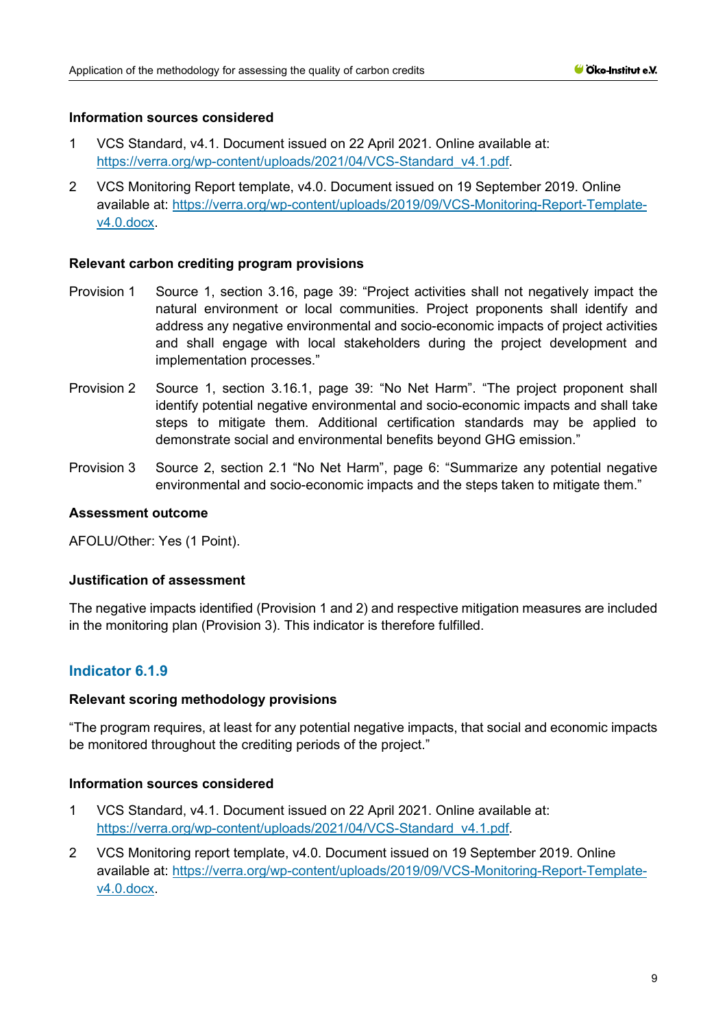- 1 VCS Standard, v4.1. Document issued on 22 April 2021. Online available at: [https://verra.org/wp-content/uploads/2021/04/VCS-Standard\\_v4.1.pdf.](https://verra.org/wp-content/uploads/2021/04/VCS-Standard_v4.1.pdf)
- 2 VCS Monitoring Report template, v4.0. Document issued on 19 September 2019. Online available at: [https://verra.org/wp-content/uploads/2019/09/VCS-Monitoring-Report-Template](https://verra.org/wp-content/uploads/2019/09/VCS-Monitoring-Report-Template-v4.0.docx)[v4.0.docx.](https://verra.org/wp-content/uploads/2019/09/VCS-Monitoring-Report-Template-v4.0.docx)

## **Relevant carbon crediting program provisions**

- Provision 1 Source 1, section 3.16, page 39: "Project activities shall not negatively impact the natural environment or local communities. Project proponents shall identify and address any negative environmental and socio-economic impacts of project activities and shall engage with local stakeholders during the project development and implementation processes."
- Provision 2 Source 1, section 3.16.1, page 39: "No Net Harm". "The project proponent shall identify potential negative environmental and socio-economic impacts and shall take steps to mitigate them. Additional certification standards may be applied to demonstrate social and environmental benefits beyond GHG emission."
- Provision 3 Source 2, section 2.1 "No Net Harm", page 6: "Summarize any potential negative environmental and socio-economic impacts and the steps taken to mitigate them."

#### **Assessment outcome**

AFOLU/Other: Yes (1 Point).

#### **Justification of assessment**

The negative impacts identified (Provision 1 and 2) and respective mitigation measures are included in the monitoring plan (Provision 3). This indicator is therefore fulfilled.

# **Indicator 6.1.9**

#### **Relevant scoring methodology provisions**

"The program requires, at least for any potential negative impacts, that social and economic impacts be monitored throughout the crediting periods of the project."

### **Information sources considered**

- 1 VCS Standard, v4.1. Document issued on 22 April 2021. Online available at: [https://verra.org/wp-content/uploads/2021/04/VCS-Standard\\_v4.1.pdf.](https://verra.org/wp-content/uploads/2021/04/VCS-Standard_v4.1.pdf)
- 2 VCS Monitoring report template, v4.0. Document issued on 19 September 2019. Online available at: [https://verra.org/wp-content/uploads/2019/09/VCS-Monitoring-Report-Template](https://verra.org/wp-content/uploads/2019/09/VCS-Monitoring-Report-Template-v4.0.docx)[v4.0.docx.](https://verra.org/wp-content/uploads/2019/09/VCS-Monitoring-Report-Template-v4.0.docx)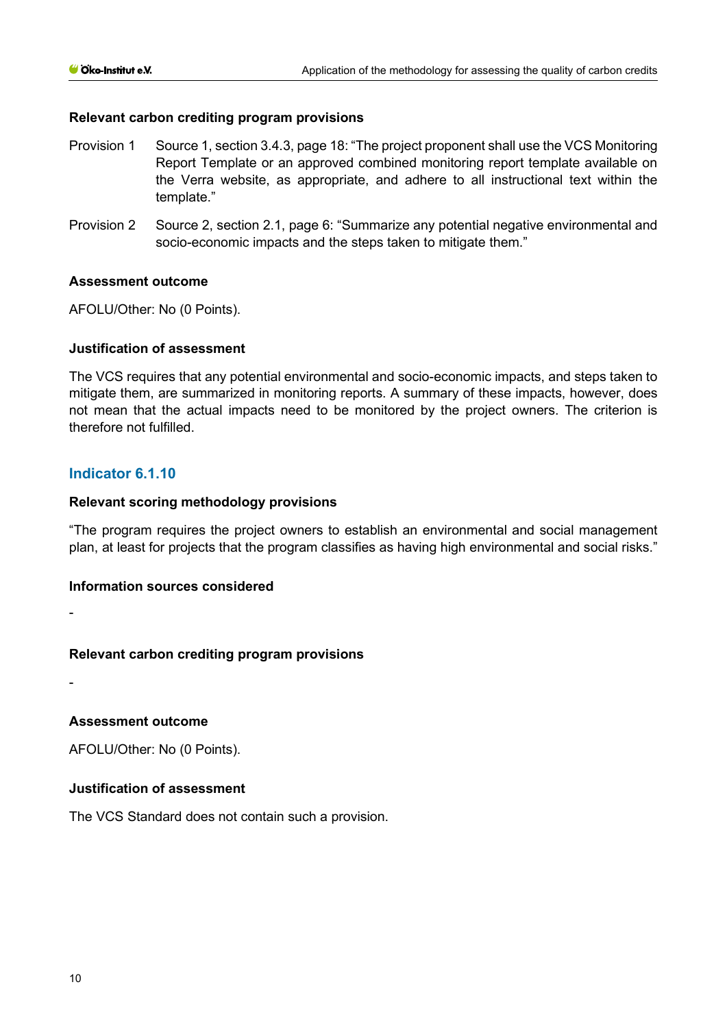## **Relevant carbon crediting program provisions**

- Provision 1 Source 1, section 3.4.3, page 18: "The project proponent shall use the VCS Monitoring Report Template or an approved combined monitoring report template available on the Verra website, as appropriate, and adhere to all instructional text within the template."
- Provision 2 Source 2, section 2.1, page 6: "Summarize any potential negative environmental and socio-economic impacts and the steps taken to mitigate them."

## **Assessment outcome**

AFOLU/Other: No (0 Points).

## **Justification of assessment**

The VCS requires that any potential environmental and socio-economic impacts, and steps taken to mitigate them, are summarized in monitoring reports. A summary of these impacts, however, does not mean that the actual impacts need to be monitored by the project owners. The criterion is therefore not fulfilled.

# **Indicator 6.1.10**

## **Relevant scoring methodology provisions**

"The program requires the project owners to establish an environmental and social management plan, at least for projects that the program classifies as having high environmental and social risks."

#### **Information sources considered**

-

# **Relevant carbon crediting program provisions**

-

# **Assessment outcome**

AFOLU/Other: No (0 Points).

# **Justification of assessment**

The VCS Standard does not contain such a provision.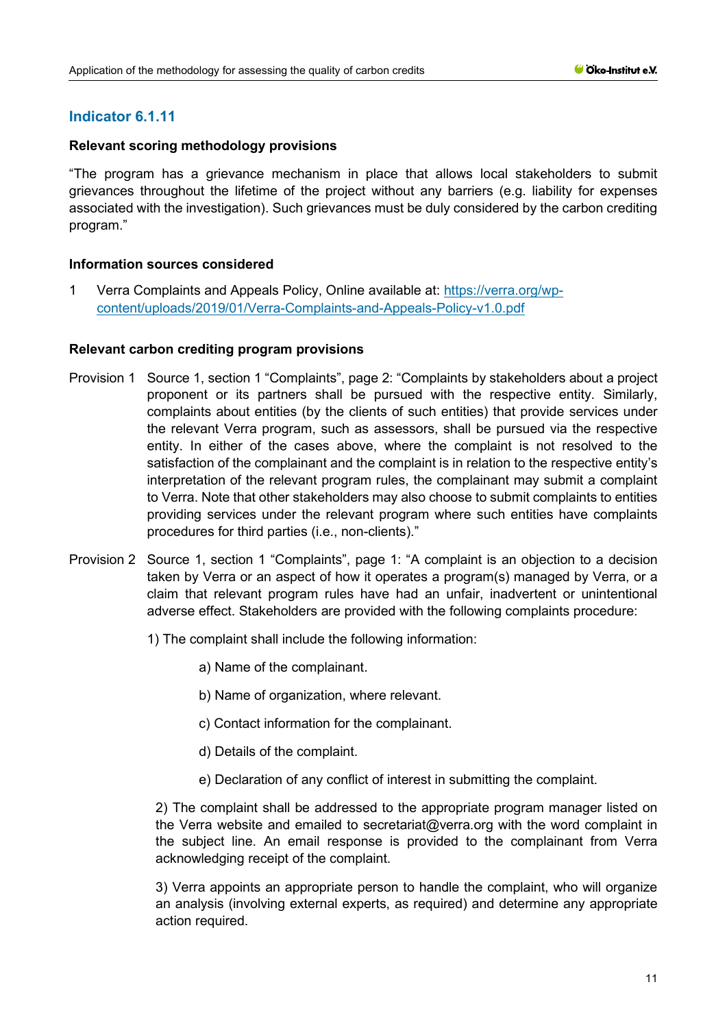# **Relevant scoring methodology provisions**

"The program has a grievance mechanism in place that allows local stakeholders to submit grievances throughout the lifetime of the project without any barriers (e.g. liability for expenses associated with the investigation). Such grievances must be duly considered by the carbon crediting program."

# **Information sources considered**

1 Verra Complaints and Appeals Policy, Online available at: [https://verra.org/wp](https://verra.org/wp-content/uploads/2019/01/Verra-Complaints-and-Appeals-Policy-v1.0.pdf)[content/uploads/2019/01/Verra-Complaints-and-Appeals-Policy-v1.0.pdf](https://verra.org/wp-content/uploads/2019/01/Verra-Complaints-and-Appeals-Policy-v1.0.pdf)

# **Relevant carbon crediting program provisions**

- Provision 1 Source 1, section 1 "Complaints", page 2: "Complaints by stakeholders about a project proponent or its partners shall be pursued with the respective entity. Similarly, complaints about entities (by the clients of such entities) that provide services under the relevant Verra program, such as assessors, shall be pursued via the respective entity. In either of the cases above, where the complaint is not resolved to the satisfaction of the complainant and the complaint is in relation to the respective entity's interpretation of the relevant program rules, the complainant may submit a complaint to Verra. Note that other stakeholders may also choose to submit complaints to entities providing services under the relevant program where such entities have complaints procedures for third parties (i.e., non-clients)."
- Provision 2 Source 1, section 1 "Complaints", page 1: "A complaint is an objection to a decision taken by Verra or an aspect of how it operates a program(s) managed by Verra, or a claim that relevant program rules have had an unfair, inadvertent or unintentional adverse effect. Stakeholders are provided with the following complaints procedure:
	- 1) The complaint shall include the following information:
		- a) Name of the complainant.
		- b) Name of organization, where relevant.
		- c) Contact information for the complainant.
		- d) Details of the complaint.
		- e) Declaration of any conflict of interest in submitting the complaint.

2) The complaint shall be addressed to the appropriate program manager listed on the Verra website and emailed to secretariat@verra.org with the word complaint in the subject line. An email response is provided to the complainant from Verra acknowledging receipt of the complaint.

3) Verra appoints an appropriate person to handle the complaint, who will organize an analysis (involving external experts, as required) and determine any appropriate action required.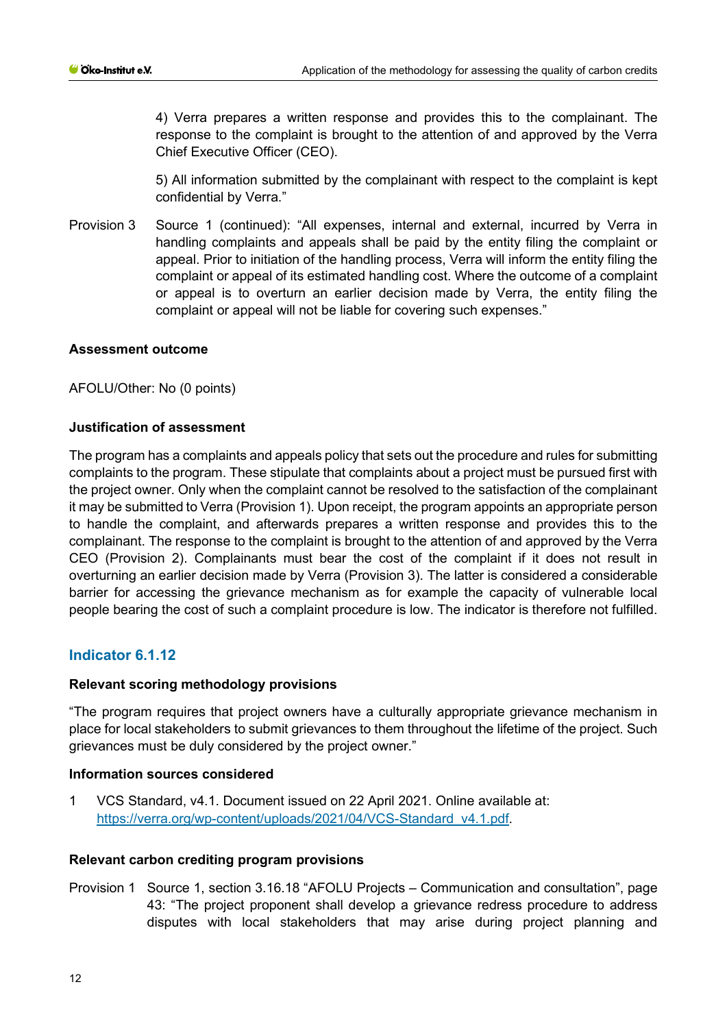4) Verra prepares a written response and provides this to the complainant. The response to the complaint is brought to the attention of and approved by the Verra Chief Executive Officer (CEO).

5) All information submitted by the complainant with respect to the complaint is kept confidential by Verra."

Provision 3 Source 1 (continued): "All expenses, internal and external, incurred by Verra in handling complaints and appeals shall be paid by the entity filing the complaint or appeal. Prior to initiation of the handling process, Verra will inform the entity filing the complaint or appeal of its estimated handling cost. Where the outcome of a complaint or appeal is to overturn an earlier decision made by Verra, the entity filing the complaint or appeal will not be liable for covering such expenses."

## **Assessment outcome**

AFOLU/Other: No (0 points)

## **Justification of assessment**

The program has a complaints and appeals policy that sets out the procedure and rules for submitting complaints to the program. These stipulate that complaints about a project must be pursued first with the project owner. Only when the complaint cannot be resolved to the satisfaction of the complainant it may be submitted to Verra (Provision 1). Upon receipt, the program appoints an appropriate person to handle the complaint, and afterwards prepares a written response and provides this to the complainant. The response to the complaint is brought to the attention of and approved by the Verra CEO (Provision 2). Complainants must bear the cost of the complaint if it does not result in overturning an earlier decision made by Verra (Provision 3). The latter is considered a considerable barrier for accessing the grievance mechanism as for example the capacity of vulnerable local people bearing the cost of such a complaint procedure is low. The indicator is therefore not fulfilled.

# **Indicator 6.1.12**

#### **Relevant scoring methodology provisions**

"The program requires that project owners have a culturally appropriate grievance mechanism in place for local stakeholders to submit grievances to them throughout the lifetime of the project. Such grievances must be duly considered by the project owner."

#### **Information sources considered**

1 VCS Standard, v4.1. Document issued on 22 April 2021. Online available at: [https://verra.org/wp-content/uploads/2021/04/VCS-Standard\\_v4.1.pdf.](https://verra.org/wp-content/uploads/2021/04/VCS-Standard_v4.1.pdf)

### **Relevant carbon crediting program provisions**

Provision 1 Source 1, section 3.16.18 "AFOLU Projects – Communication and consultation", page 43: "The project proponent shall develop a grievance redress procedure to address disputes with local stakeholders that may arise during project planning and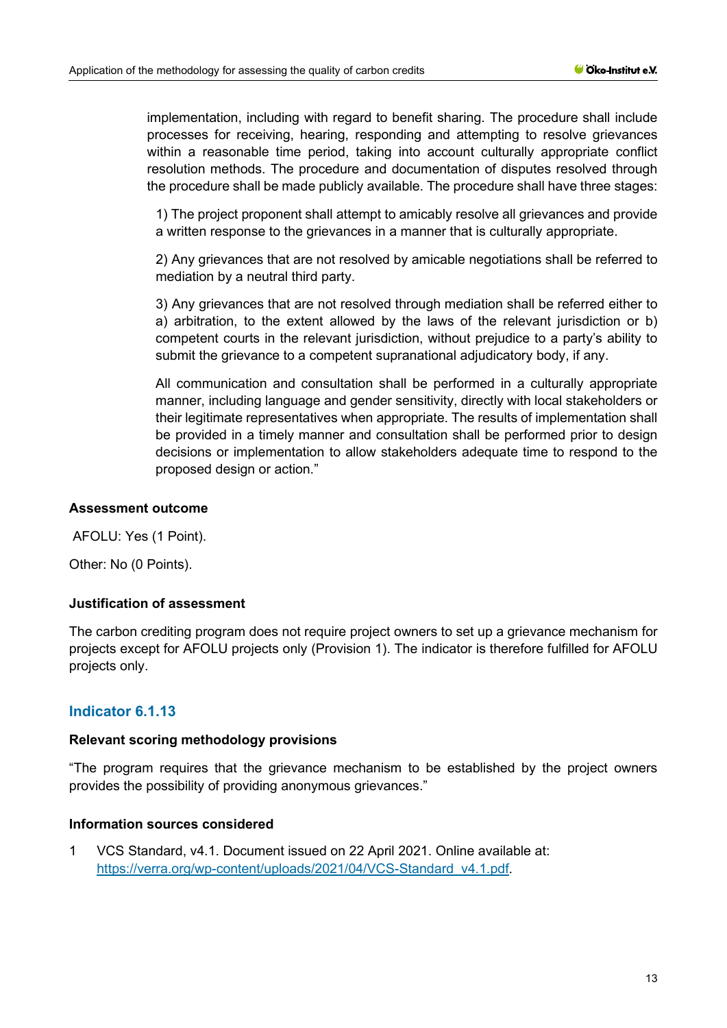implementation, including with regard to benefit sharing. The procedure shall include processes for receiving, hearing, responding and attempting to resolve grievances within a reasonable time period, taking into account culturally appropriate conflict resolution methods. The procedure and documentation of disputes resolved through the procedure shall be made publicly available. The procedure shall have three stages:

1) The project proponent shall attempt to amicably resolve all grievances and provide a written response to the grievances in a manner that is culturally appropriate.

2) Any grievances that are not resolved by amicable negotiations shall be referred to mediation by a neutral third party.

3) Any grievances that are not resolved through mediation shall be referred either to a) arbitration, to the extent allowed by the laws of the relevant jurisdiction or b) competent courts in the relevant jurisdiction, without prejudice to a party's ability to submit the grievance to a competent supranational adjudicatory body, if any.

All communication and consultation shall be performed in a culturally appropriate manner, including language and gender sensitivity, directly with local stakeholders or their legitimate representatives when appropriate. The results of implementation shall be provided in a timely manner and consultation shall be performed prior to design decisions or implementation to allow stakeholders adequate time to respond to the proposed design or action."

## **Assessment outcome**

AFOLU: Yes (1 Point).

Other: No (0 Points).

#### **Justification of assessment**

The carbon crediting program does not require project owners to set up a grievance mechanism for projects except for AFOLU projects only (Provision 1). The indicator is therefore fulfilled for AFOLU projects only.

# **Indicator 6.1.13**

### **Relevant scoring methodology provisions**

"The program requires that the grievance mechanism to be established by the project owners provides the possibility of providing anonymous grievances."

## **Information sources considered**

1 VCS Standard, v4.1. Document issued on 22 April 2021. Online available at: [https://verra.org/wp-content/uploads/2021/04/VCS-Standard\\_v4.1.pdf.](https://verra.org/wp-content/uploads/2021/04/VCS-Standard_v4.1.pdf)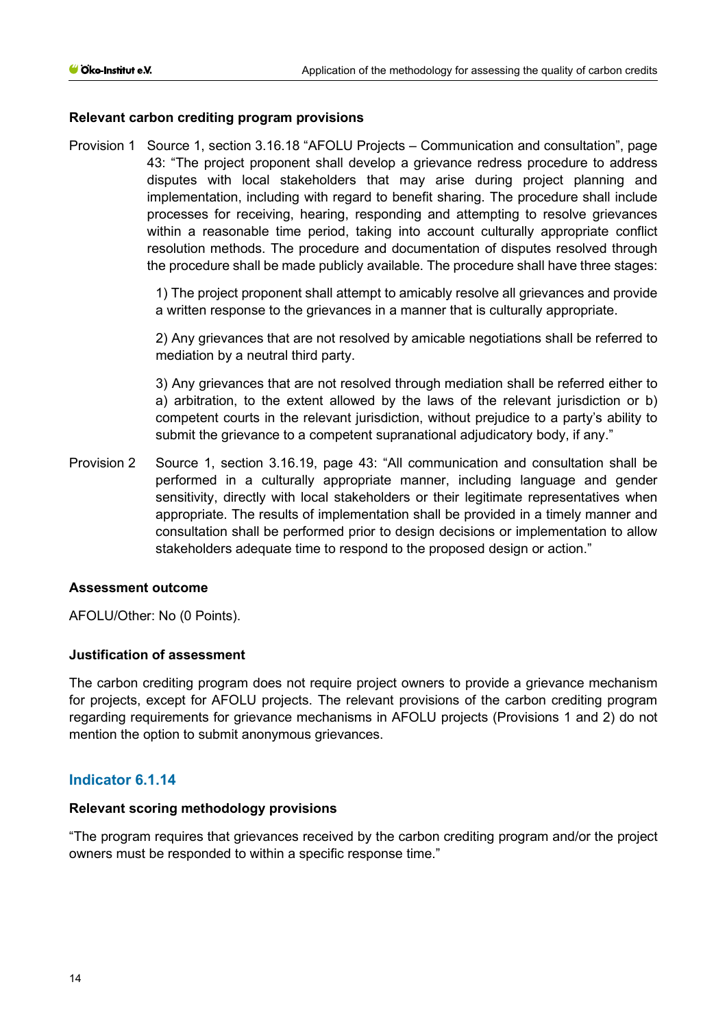## **Relevant carbon crediting program provisions**

Provision 1 Source 1, section 3.16.18 "AFOLU Projects – Communication and consultation", page 43: "The project proponent shall develop a grievance redress procedure to address disputes with local stakeholders that may arise during project planning and implementation, including with regard to benefit sharing. The procedure shall include processes for receiving, hearing, responding and attempting to resolve grievances within a reasonable time period, taking into account culturally appropriate conflict resolution methods. The procedure and documentation of disputes resolved through the procedure shall be made publicly available. The procedure shall have three stages:

> 1) The project proponent shall attempt to amicably resolve all grievances and provide a written response to the grievances in a manner that is culturally appropriate.

> 2) Any grievances that are not resolved by amicable negotiations shall be referred to mediation by a neutral third party.

> 3) Any grievances that are not resolved through mediation shall be referred either to a) arbitration, to the extent allowed by the laws of the relevant jurisdiction or b) competent courts in the relevant jurisdiction, without prejudice to a party's ability to submit the grievance to a competent supranational adjudicatory body, if any."

Provision 2 Source 1, section 3.16.19, page 43: "All communication and consultation shall be performed in a culturally appropriate manner, including language and gender sensitivity, directly with local stakeholders or their legitimate representatives when appropriate. The results of implementation shall be provided in a timely manner and consultation shall be performed prior to design decisions or implementation to allow stakeholders adequate time to respond to the proposed design or action."

#### **Assessment outcome**

AFOLU/Other: No (0 Points).

#### **Justification of assessment**

The carbon crediting program does not require project owners to provide a grievance mechanism for projects, except for AFOLU projects. The relevant provisions of the carbon crediting program regarding requirements for grievance mechanisms in AFOLU projects (Provisions 1 and 2) do not mention the option to submit anonymous grievances.

# **Indicator 6.1.14**

#### **Relevant scoring methodology provisions**

"The program requires that grievances received by the carbon crediting program and/or the project owners must be responded to within a specific response time."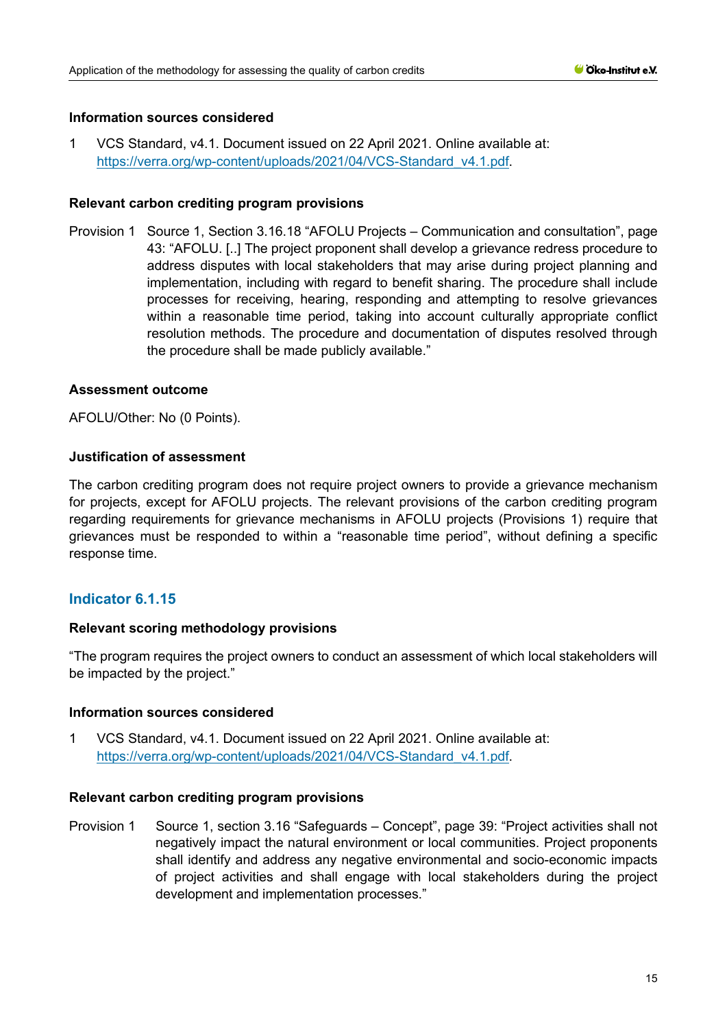1 VCS Standard, v4.1. Document issued on 22 April 2021. Online available at: [https://verra.org/wp-content/uploads/2021/04/VCS-Standard\\_v4.1.pdf.](https://verra.org/wp-content/uploads/2021/04/VCS-Standard_v4.1.pdf)

## **Relevant carbon crediting program provisions**

Provision 1 Source 1, Section 3.16.18 "AFOLU Projects – Communication and consultation", page 43: "AFOLU. [..] The project proponent shall develop a grievance redress procedure to address disputes with local stakeholders that may arise during project planning and implementation, including with regard to benefit sharing. The procedure shall include processes for receiving, hearing, responding and attempting to resolve grievances within a reasonable time period, taking into account culturally appropriate conflict resolution methods. The procedure and documentation of disputes resolved through the procedure shall be made publicly available."

# **Assessment outcome**

AFOLU/Other: No (0 Points).

## **Justification of assessment**

The carbon crediting program does not require project owners to provide a grievance mechanism for projects, except for AFOLU projects. The relevant provisions of the carbon crediting program regarding requirements for grievance mechanisms in AFOLU projects (Provisions 1) require that grievances must be responded to within a "reasonable time period", without defining a specific response time.

# **Indicator 6.1.15**

# **Relevant scoring methodology provisions**

"The program requires the project owners to conduct an assessment of which local stakeholders will be impacted by the project."

#### **Information sources considered**

1 VCS Standard, v4.1. Document issued on 22 April 2021. Online available at: [https://verra.org/wp-content/uploads/2021/04/VCS-Standard\\_v4.1.pdf.](https://verra.org/wp-content/uploads/2021/04/VCS-Standard_v4.1.pdf)

#### **Relevant carbon crediting program provisions**

Provision 1 Source 1, section 3.16 "Safeguards – Concept", page 39: "Project activities shall not negatively impact the natural environment or local communities. Project proponents shall identify and address any negative environmental and socio-economic impacts of project activities and shall engage with local stakeholders during the project development and implementation processes."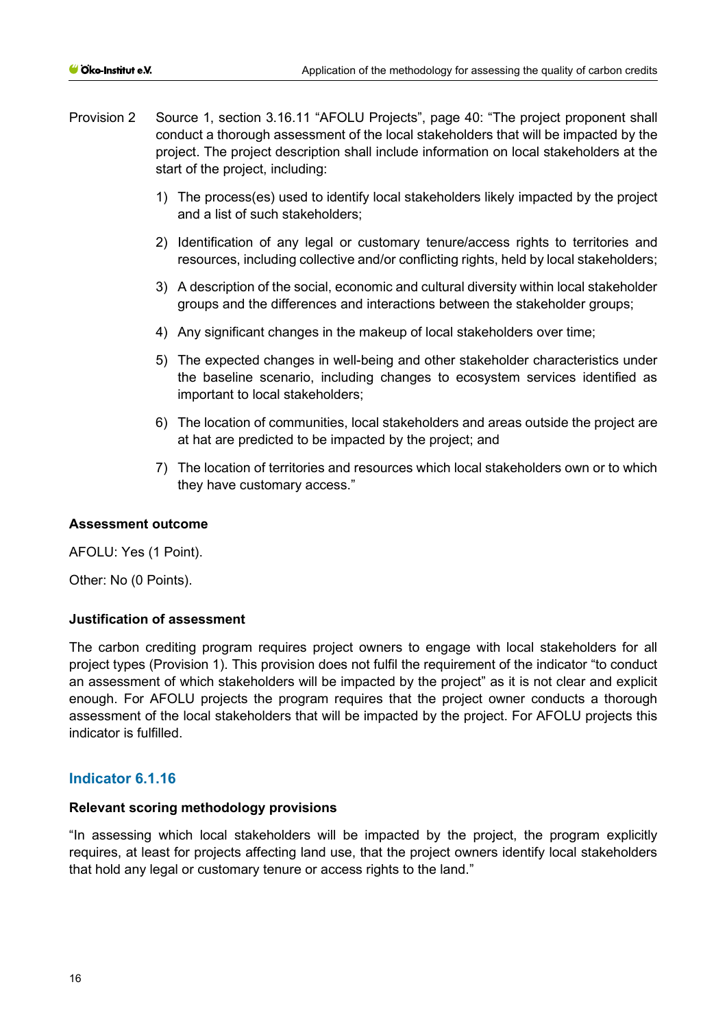- Provision 2 Source 1, section 3.16.11 "AFOLU Projects", page 40: "The project proponent shall conduct a thorough assessment of the local stakeholders that will be impacted by the project. The project description shall include information on local stakeholders at the start of the project, including:
	- 1) The process(es) used to identify local stakeholders likely impacted by the project and a list of such stakeholders;
	- 2) Identification of any legal or customary tenure/access rights to territories and resources, including collective and/or conflicting rights, held by local stakeholders;
	- 3) A description of the social, economic and cultural diversity within local stakeholder groups and the differences and interactions between the stakeholder groups;
	- 4) Any significant changes in the makeup of local stakeholders over time;
	- 5) The expected changes in well-being and other stakeholder characteristics under the baseline scenario, including changes to ecosystem services identified as important to local stakeholders;
	- 6) The location of communities, local stakeholders and areas outside the project are at hat are predicted to be impacted by the project; and
	- 7) The location of territories and resources which local stakeholders own or to which they have customary access."

# **Assessment outcome**

AFOLU: Yes (1 Point).

Other: No (0 Points).

#### **Justification of assessment**

The carbon crediting program requires project owners to engage with local stakeholders for all project types (Provision 1). This provision does not fulfil the requirement of the indicator "to conduct an assessment of which stakeholders will be impacted by the project" as it is not clear and explicit enough. For AFOLU projects the program requires that the project owner conducts a thorough assessment of the local stakeholders that will be impacted by the project. For AFOLU projects this indicator is fulfilled.

# **Indicator 6.1.16**

#### **Relevant scoring methodology provisions**

"In assessing which local stakeholders will be impacted by the project, the program explicitly requires, at least for projects affecting land use, that the project owners identify local stakeholders that hold any legal or customary tenure or access rights to the land."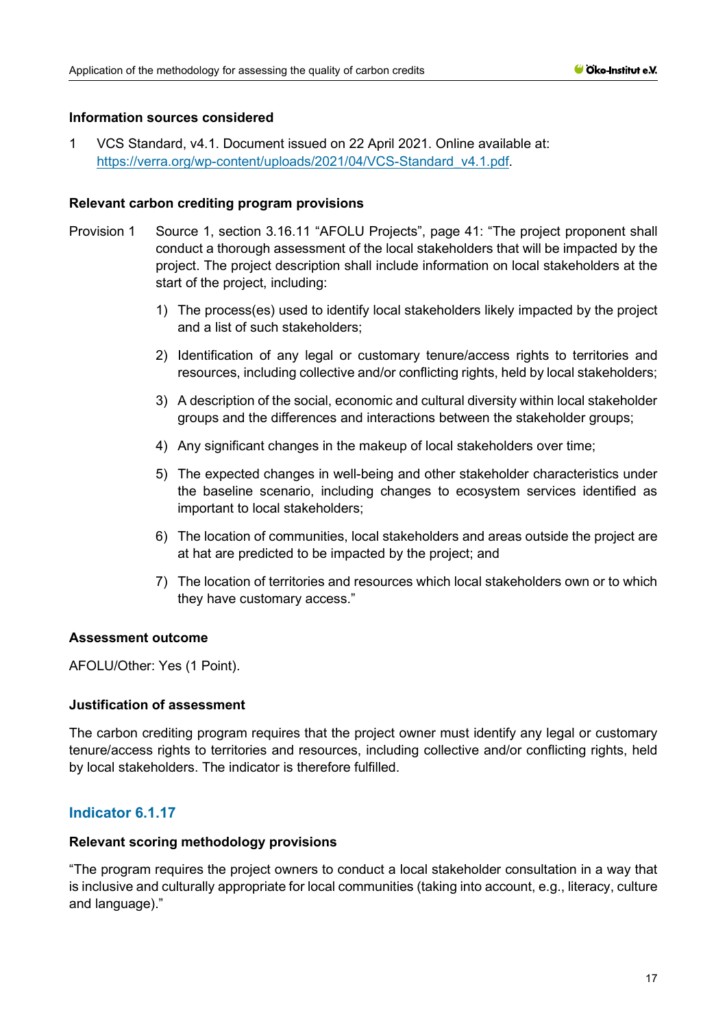1 VCS Standard, v4.1. Document issued on 22 April 2021. Online available at: [https://verra.org/wp-content/uploads/2021/04/VCS-Standard\\_v4.1.pdf.](https://verra.org/wp-content/uploads/2021/04/VCS-Standard_v4.1.pdf)

#### **Relevant carbon crediting program provisions**

- Provision 1 Source 1, section 3.16.11 "AFOLU Projects", page 41: "The project proponent shall conduct a thorough assessment of the local stakeholders that will be impacted by the project. The project description shall include information on local stakeholders at the start of the project, including:
	- 1) The process(es) used to identify local stakeholders likely impacted by the project and a list of such stakeholders;
	- 2) Identification of any legal or customary tenure/access rights to territories and resources, including collective and/or conflicting rights, held by local stakeholders;
	- 3) A description of the social, economic and cultural diversity within local stakeholder groups and the differences and interactions between the stakeholder groups;
	- 4) Any significant changes in the makeup of local stakeholders over time;
	- 5) The expected changes in well-being and other stakeholder characteristics under the baseline scenario, including changes to ecosystem services identified as important to local stakeholders;
	- 6) The location of communities, local stakeholders and areas outside the project are at hat are predicted to be impacted by the project; and
	- 7) The location of territories and resources which local stakeholders own or to which they have customary access."

# **Assessment outcome**

AFOLU/Other: Yes (1 Point).

# **Justification of assessment**

The carbon crediting program requires that the project owner must identify any legal or customary tenure/access rights to territories and resources, including collective and/or conflicting rights, held by local stakeholders. The indicator is therefore fulfilled.

# **Indicator 6.1.17**

#### **Relevant scoring methodology provisions**

"The program requires the project owners to conduct a local stakeholder consultation in a way that is inclusive and culturally appropriate for local communities (taking into account, e.g., literacy, culture and language)."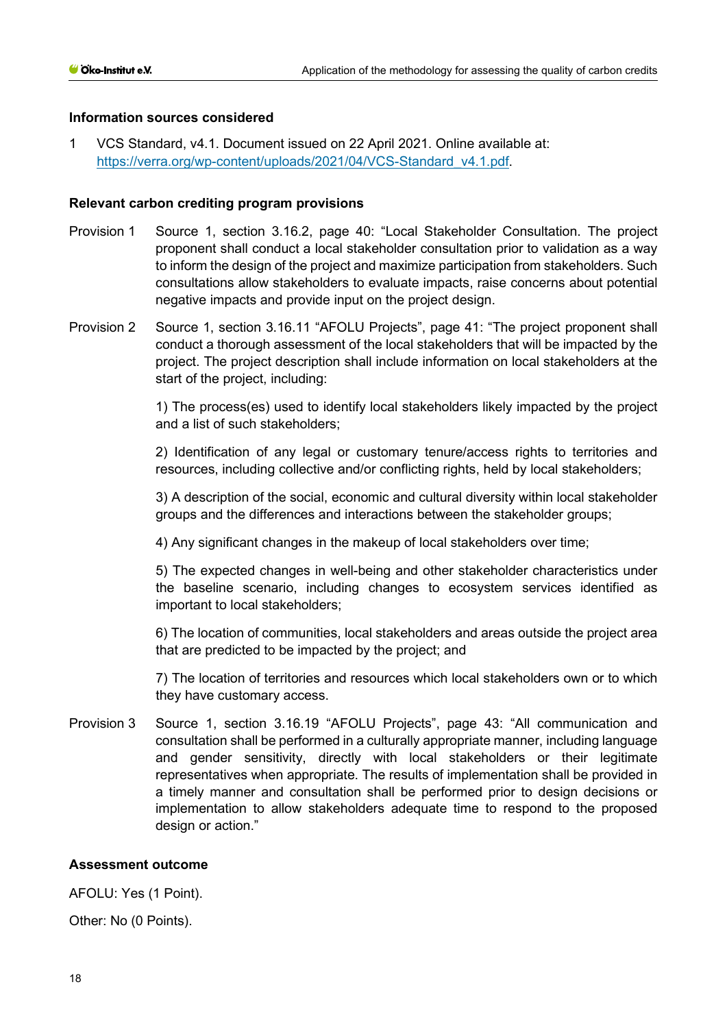1 VCS Standard, v4.1. Document issued on 22 April 2021. Online available at: [https://verra.org/wp-content/uploads/2021/04/VCS-Standard\\_v4.1.pdf.](https://verra.org/wp-content/uploads/2021/04/VCS-Standard_v4.1.pdf)

## **Relevant carbon crediting program provisions**

- Provision 1 Source 1, section 3.16.2, page 40: "Local Stakeholder Consultation. The project proponent shall conduct a local stakeholder consultation prior to validation as a way to inform the design of the project and maximize participation from stakeholders. Such consultations allow stakeholders to evaluate impacts, raise concerns about potential negative impacts and provide input on the project design.
- Provision 2 Source 1, section 3.16.11 "AFOLU Projects", page 41: "The project proponent shall conduct a thorough assessment of the local stakeholders that will be impacted by the project. The project description shall include information on local stakeholders at the start of the project, including:

1) The process(es) used to identify local stakeholders likely impacted by the project and a list of such stakeholders;

2) Identification of any legal or customary tenure/access rights to territories and resources, including collective and/or conflicting rights, held by local stakeholders;

3) A description of the social, economic and cultural diversity within local stakeholder groups and the differences and interactions between the stakeholder groups;

4) Any significant changes in the makeup of local stakeholders over time;

5) The expected changes in well-being and other stakeholder characteristics under the baseline scenario, including changes to ecosystem services identified as important to local stakeholders;

6) The location of communities, local stakeholders and areas outside the project area that are predicted to be impacted by the project; and

7) The location of territories and resources which local stakeholders own or to which they have customary access.

Provision 3 Source 1, section 3.16.19 "AFOLU Projects", page 43: "All communication and consultation shall be performed in a culturally appropriate manner, including language and gender sensitivity, directly with local stakeholders or their legitimate representatives when appropriate. The results of implementation shall be provided in a timely manner and consultation shall be performed prior to design decisions or implementation to allow stakeholders adequate time to respond to the proposed design or action."

# **Assessment outcome**

AFOLU: Yes (1 Point).

Other: No (0 Points).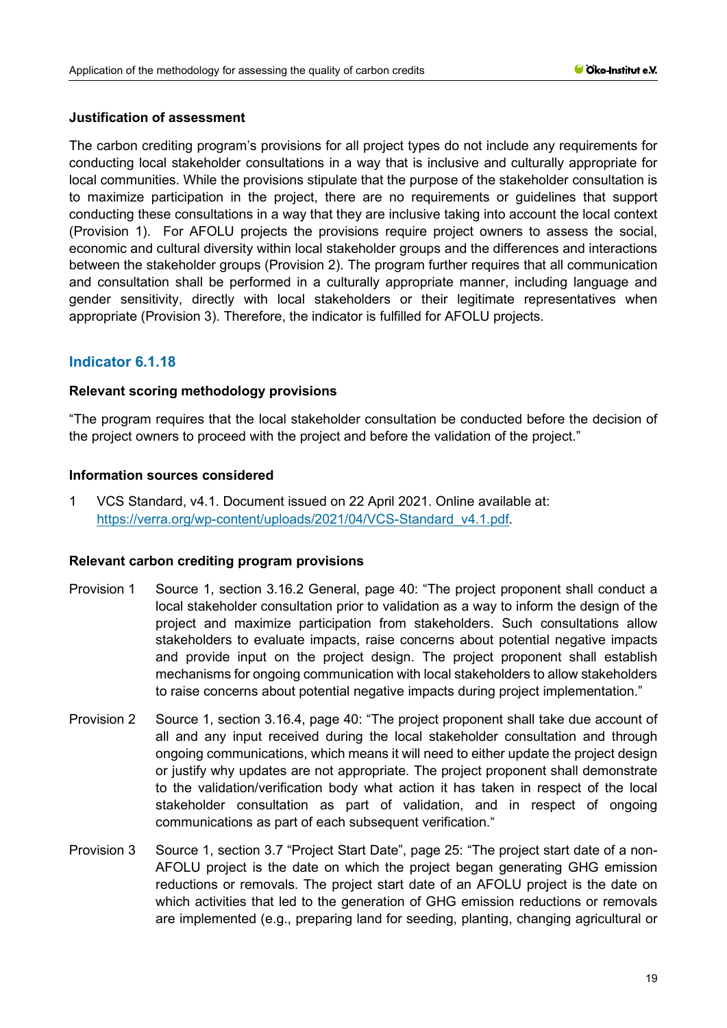# **Justification of assessment**

The carbon crediting program's provisions for all project types do not include any requirements for conducting local stakeholder consultations in a way that is inclusive and culturally appropriate for local communities. While the provisions stipulate that the purpose of the stakeholder consultation is to maximize participation in the project, there are no requirements or guidelines that support conducting these consultations in a way that they are inclusive taking into account the local context (Provision 1). For AFOLU projects the provisions require project owners to assess the social, economic and cultural diversity within local stakeholder groups and the differences and interactions between the stakeholder groups (Provision 2). The program further requires that all communication and consultation shall be performed in a culturally appropriate manner, including language and gender sensitivity, directly with local stakeholders or their legitimate representatives when appropriate (Provision 3). Therefore, the indicator is fulfilled for AFOLU projects.

# **Indicator 6.1.18**

## **Relevant scoring methodology provisions**

"The program requires that the local stakeholder consultation be conducted before the decision of the project owners to proceed with the project and before the validation of the project."

## **Information sources considered**

1 VCS Standard, v4.1. Document issued on 22 April 2021. Online available at: [https://verra.org/wp-content/uploads/2021/04/VCS-Standard\\_v4.1.pdf.](https://verra.org/wp-content/uploads/2021/04/VCS-Standard_v4.1.pdf)

#### **Relevant carbon crediting program provisions**

- Provision 1 Source 1, section 3.16.2 General, page 40: "The project proponent shall conduct a local stakeholder consultation prior to validation as a way to inform the design of the project and maximize participation from stakeholders. Such consultations allow stakeholders to evaluate impacts, raise concerns about potential negative impacts and provide input on the project design. The project proponent shall establish mechanisms for ongoing communication with local stakeholders to allow stakeholders to raise concerns about potential negative impacts during project implementation."
- Provision 2 Source 1, section 3.16.4, page 40: "The project proponent shall take due account of all and any input received during the local stakeholder consultation and through ongoing communications, which means it will need to either update the project design or justify why updates are not appropriate. The project proponent shall demonstrate to the validation/verification body what action it has taken in respect of the local stakeholder consultation as part of validation, and in respect of ongoing communications as part of each subsequent verification."
- Provision 3 Source 1, section 3.7 "Project Start Date", page 25: "The project start date of a non-AFOLU project is the date on which the project began generating GHG emission reductions or removals. The project start date of an AFOLU project is the date on which activities that led to the generation of GHG emission reductions or removals are implemented (e.g., preparing land for seeding, planting, changing agricultural or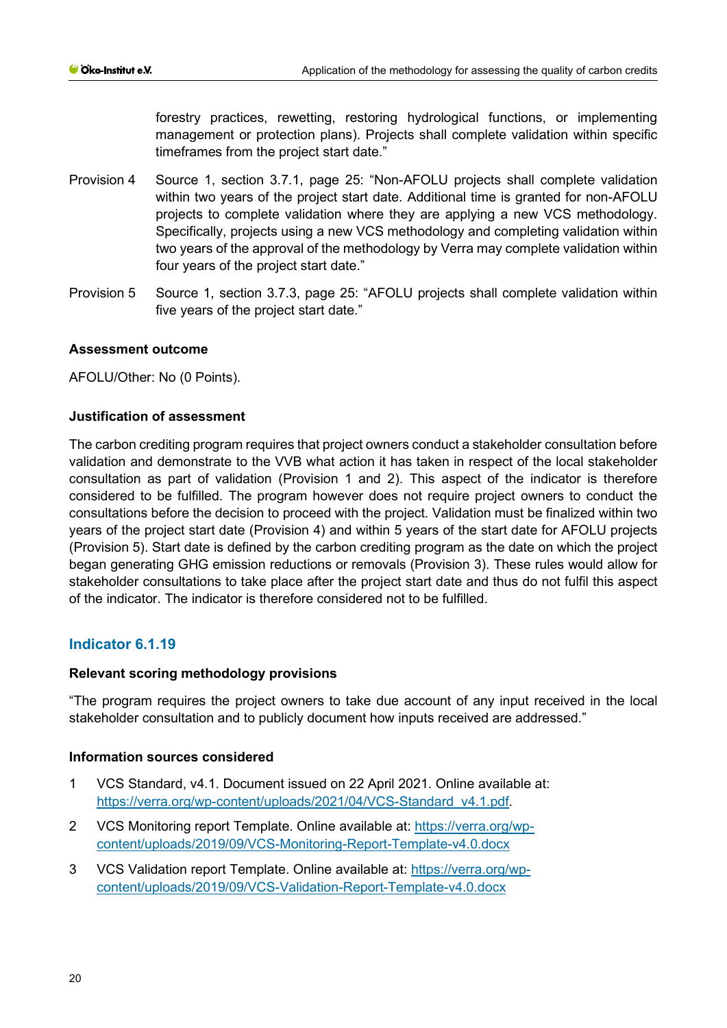forestry practices, rewetting, restoring hydrological functions, or implementing management or protection plans). Projects shall complete validation within specific timeframes from the project start date."

- Provision 4 Source 1, section 3.7.1, page 25: "Non-AFOLU projects shall complete validation within two years of the project start date. Additional time is granted for non-AFOLU projects to complete validation where they are applying a new VCS methodology. Specifically, projects using a new VCS methodology and completing validation within two years of the approval of the methodology by Verra may complete validation within four years of the project start date."
- Provision 5 Source 1, section 3.7.3, page 25: "AFOLU projects shall complete validation within five years of the project start date."

# **Assessment outcome**

AFOLU/Other: No (0 Points).

# **Justification of assessment**

The carbon crediting program requires that project owners conduct a stakeholder consultation before validation and demonstrate to the VVB what action it has taken in respect of the local stakeholder consultation as part of validation (Provision 1 and 2). This aspect of the indicator is therefore considered to be fulfilled. The program however does not require project owners to conduct the consultations before the decision to proceed with the project. Validation must be finalized within two years of the project start date (Provision 4) and within 5 years of the start date for AFOLU projects (Provision 5). Start date is defined by the carbon crediting program as the date on which the project began generating GHG emission reductions or removals (Provision 3). These rules would allow for stakeholder consultations to take place after the project start date and thus do not fulfil this aspect of the indicator. The indicator is therefore considered not to be fulfilled.

# **Indicator 6.1.19**

#### **Relevant scoring methodology provisions**

"The program requires the project owners to take due account of any input received in the local stakeholder consultation and to publicly document how inputs received are addressed."

#### **Information sources considered**

- 1 VCS Standard, v4.1. Document issued on 22 April 2021. Online available at: [https://verra.org/wp-content/uploads/2021/04/VCS-Standard\\_v4.1.pdf.](https://verra.org/wp-content/uploads/2021/04/VCS-Standard_v4.1.pdf)
- 2 VCS Monitoring report Template. Online available at: [https://verra.org/wp](https://verra.org/wp-content/uploads/2019/09/VCS-Monitoring-Report-Template-v4.0.docx)[content/uploads/2019/09/VCS-Monitoring-Report-Template-v4.0.docx](https://verra.org/wp-content/uploads/2019/09/VCS-Monitoring-Report-Template-v4.0.docx)
- 3 VCS Validation report Template. Online available at: [https://verra.org/wp](https://verra.org/wp-content/uploads/2019/09/VCS-Validation-Report-Template-v4.0.docx)[content/uploads/2019/09/VCS-Validation-Report-Template-v4.0.docx](https://verra.org/wp-content/uploads/2019/09/VCS-Validation-Report-Template-v4.0.docx)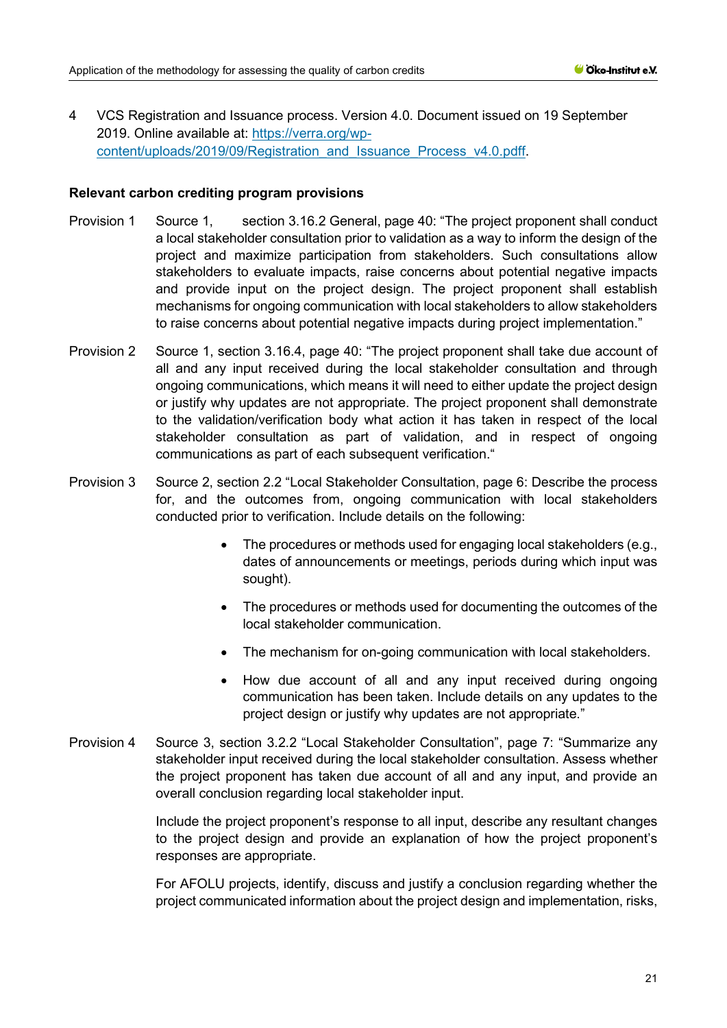4 VCS Registration and Issuance process. Version 4.0. Document issued on 19 September 2019. Online available at: [https://verra.org/wp](https://verra.org/wp-content/uploads/2019/09/Registration_and_Issuance_Process_v4.0.pdff)[content/uploads/2019/09/Registration\\_and\\_Issuance\\_Process\\_v4.0.pdff.](https://verra.org/wp-content/uploads/2019/09/Registration_and_Issuance_Process_v4.0.pdff)

## **Relevant carbon crediting program provisions**

- Provision 1 Source 1, section 3.16.2 General, page 40: "The project proponent shall conduct a local stakeholder consultation prior to validation as a way to inform the design of the project and maximize participation from stakeholders. Such consultations allow stakeholders to evaluate impacts, raise concerns about potential negative impacts and provide input on the project design. The project proponent shall establish mechanisms for ongoing communication with local stakeholders to allow stakeholders to raise concerns about potential negative impacts during project implementation."
- Provision 2 Source 1, section 3.16.4, page 40: "The project proponent shall take due account of all and any input received during the local stakeholder consultation and through ongoing communications, which means it will need to either update the project design or justify why updates are not appropriate. The project proponent shall demonstrate to the validation/verification body what action it has taken in respect of the local stakeholder consultation as part of validation, and in respect of ongoing communications as part of each subsequent verification."
- Provision 3 Source 2, section 2.2 "Local Stakeholder Consultation, page 6: Describe the process for, and the outcomes from, ongoing communication with local stakeholders conducted prior to verification. Include details on the following:
	- The procedures or methods used for engaging local stakeholders (e.g., dates of announcements or meetings, periods during which input was sought).
	- The procedures or methods used for documenting the outcomes of the local stakeholder communication.
	- The mechanism for on-going communication with local stakeholders.
	- How due account of all and any input received during ongoing communication has been taken. Include details on any updates to the project design or justify why updates are not appropriate."
- Provision 4 Source 3, section 3.2.2 "Local Stakeholder Consultation", page 7: "Summarize any stakeholder input received during the local stakeholder consultation. Assess whether the project proponent has taken due account of all and any input, and provide an overall conclusion regarding local stakeholder input.

Include the project proponent's response to all input, describe any resultant changes to the project design and provide an explanation of how the project proponent's responses are appropriate.

For AFOLU projects, identify, discuss and justify a conclusion regarding whether the project communicated information about the project design and implementation, risks,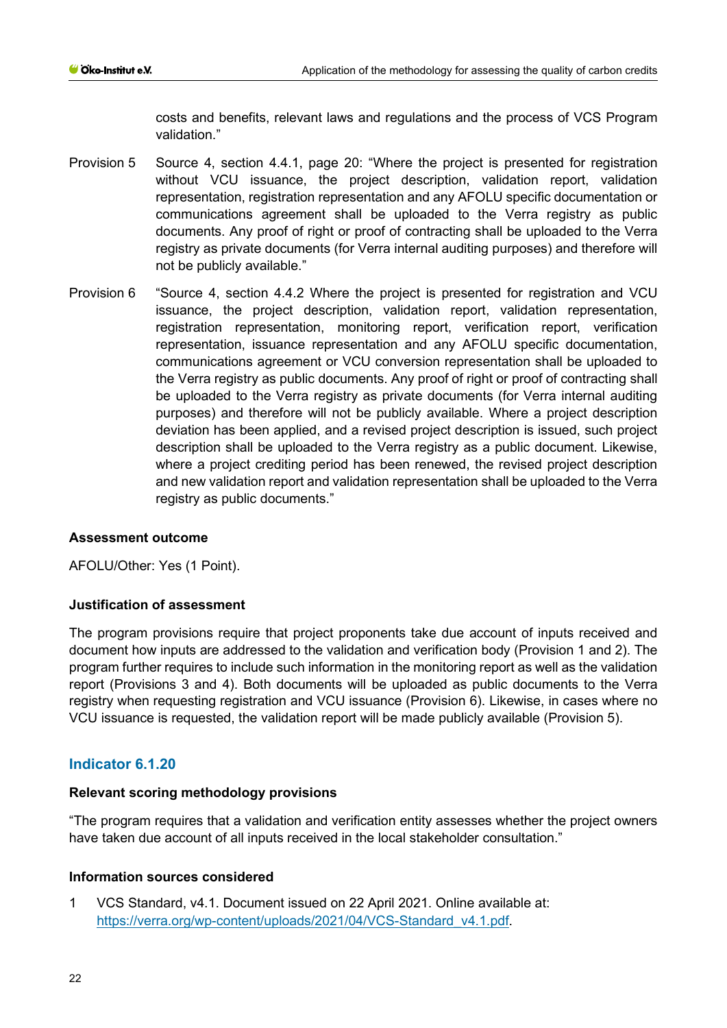costs and benefits, relevant laws and regulations and the process of VCS Program validation."

- Provision 5 Source 4, section 4.4.1, page 20: "Where the project is presented for registration without VCU issuance, the project description, validation report, validation representation, registration representation and any AFOLU specific documentation or communications agreement shall be uploaded to the Verra registry as public documents. Any proof of right or proof of contracting shall be uploaded to the Verra registry as private documents (for Verra internal auditing purposes) and therefore will not be publicly available."
- Provision 6 "Source 4, section 4.4.2 Where the project is presented for registration and VCU issuance, the project description, validation report, validation representation, registration representation, monitoring report, verification report, verification representation, issuance representation and any AFOLU specific documentation, communications agreement or VCU conversion representation shall be uploaded to the Verra registry as public documents. Any proof of right or proof of contracting shall be uploaded to the Verra registry as private documents (for Verra internal auditing purposes) and therefore will not be publicly available. Where a project description deviation has been applied, and a revised project description is issued, such project description shall be uploaded to the Verra registry as a public document. Likewise, where a project crediting period has been renewed, the revised project description and new validation report and validation representation shall be uploaded to the Verra registry as public documents."

# **Assessment outcome**

AFOLU/Other: Yes (1 Point).

#### **Justification of assessment**

The program provisions require that project proponents take due account of inputs received and document how inputs are addressed to the validation and verification body (Provision 1 and 2). The program further requires to include such information in the monitoring report as well as the validation report (Provisions 3 and 4). Both documents will be uploaded as public documents to the Verra registry when requesting registration and VCU issuance (Provision 6). Likewise, in cases where no VCU issuance is requested, the validation report will be made publicly available (Provision 5).

# **Indicator 6.1.20**

# **Relevant scoring methodology provisions**

"The program requires that a validation and verification entity assesses whether the project owners have taken due account of all inputs received in the local stakeholder consultation."

#### **Information sources considered**

1 VCS Standard, v4.1. Document issued on 22 April 2021. Online available at: [https://verra.org/wp-content/uploads/2021/04/VCS-Standard\\_v4.1.pdf.](https://verra.org/wp-content/uploads/2021/04/VCS-Standard_v4.1.pdf)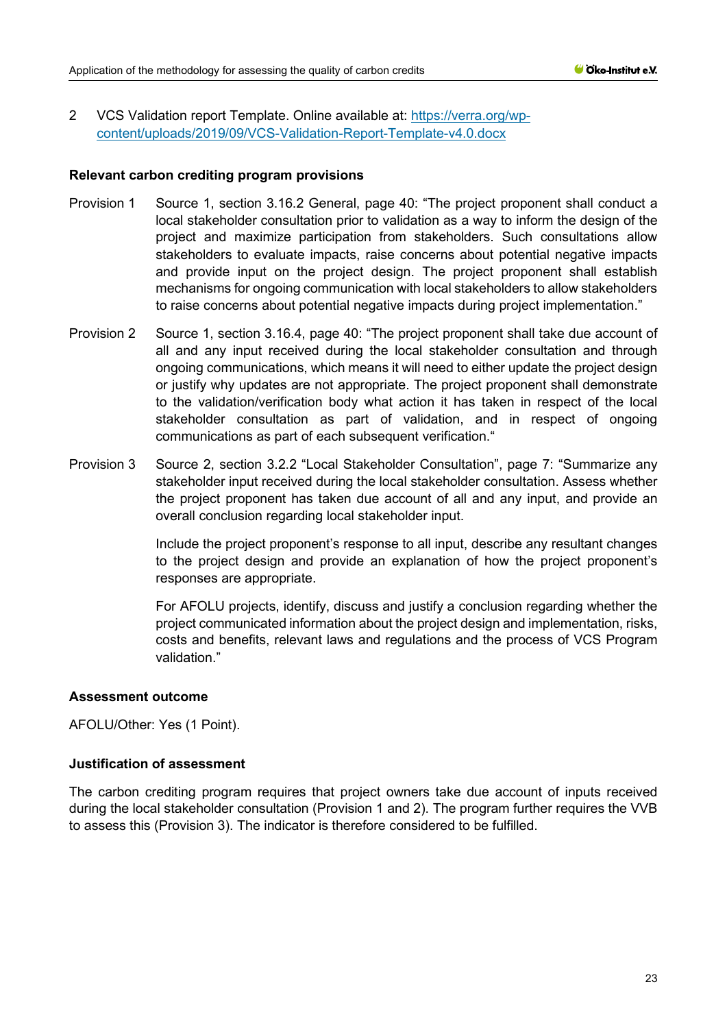2 VCS Validation report Template. Online available at: [https://verra.org/wp](https://verra.org/wp-content/uploads/2019/09/VCS-Validation-Report-Template-v4.0.docx)[content/uploads/2019/09/VCS-Validation-Report-Template-v4.0.docx](https://verra.org/wp-content/uploads/2019/09/VCS-Validation-Report-Template-v4.0.docx)

## **Relevant carbon crediting program provisions**

- Provision 1 Source 1, section 3.16.2 General, page 40: "The project proponent shall conduct a local stakeholder consultation prior to validation as a way to inform the design of the project and maximize participation from stakeholders. Such consultations allow stakeholders to evaluate impacts, raise concerns about potential negative impacts and provide input on the project design. The project proponent shall establish mechanisms for ongoing communication with local stakeholders to allow stakeholders to raise concerns about potential negative impacts during project implementation."
- Provision 2 Source 1, section 3.16.4, page 40: "The project proponent shall take due account of all and any input received during the local stakeholder consultation and through ongoing communications, which means it will need to either update the project design or justify why updates are not appropriate. The project proponent shall demonstrate to the validation/verification body what action it has taken in respect of the local stakeholder consultation as part of validation, and in respect of ongoing communications as part of each subsequent verification."
- Provision 3 Source 2, section 3.2.2 "Local Stakeholder Consultation", page 7: "Summarize any stakeholder input received during the local stakeholder consultation. Assess whether the project proponent has taken due account of all and any input, and provide an overall conclusion regarding local stakeholder input.

Include the project proponent's response to all input, describe any resultant changes to the project design and provide an explanation of how the project proponent's responses are appropriate.

For AFOLU projects, identify, discuss and justify a conclusion regarding whether the project communicated information about the project design and implementation, risks, costs and benefits, relevant laws and regulations and the process of VCS Program validation."

# **Assessment outcome**

AFOLU/Other: Yes (1 Point).

# **Justification of assessment**

The carbon crediting program requires that project owners take due account of inputs received during the local stakeholder consultation (Provision 1 and 2). The program further requires the VVB to assess this (Provision 3). The indicator is therefore considered to be fulfilled.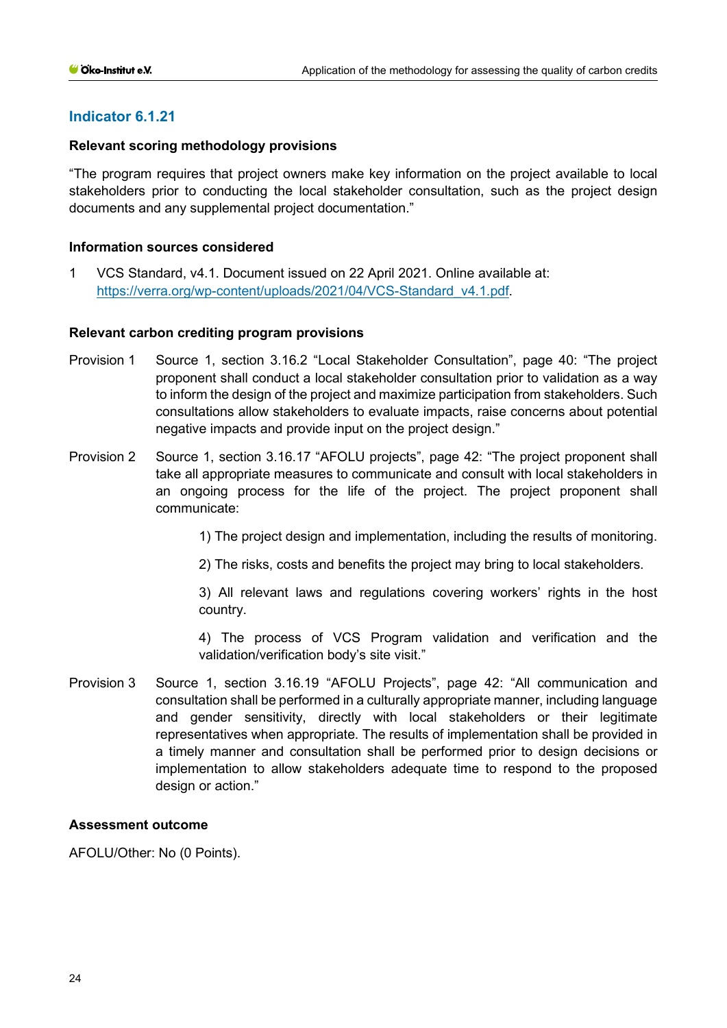#### **Relevant scoring methodology provisions**

"The program requires that project owners make key information on the project available to local stakeholders prior to conducting the local stakeholder consultation, such as the project design documents and any supplemental project documentation."

#### **Information sources considered**

1 VCS Standard, v4.1. Document issued on 22 April 2021. Online available at: [https://verra.org/wp-content/uploads/2021/04/VCS-Standard\\_v4.1.pdf.](https://verra.org/wp-content/uploads/2021/04/VCS-Standard_v4.1.pdf)

#### **Relevant carbon crediting program provisions**

- Provision 1 Source 1, section 3.16.2 "Local Stakeholder Consultation", page 40: "The project proponent shall conduct a local stakeholder consultation prior to validation as a way to inform the design of the project and maximize participation from stakeholders. Such consultations allow stakeholders to evaluate impacts, raise concerns about potential negative impacts and provide input on the project design."
- Provision 2 Source 1, section 3.16.17 "AFOLU projects", page 42: "The project proponent shall take all appropriate measures to communicate and consult with local stakeholders in an ongoing process for the life of the project. The project proponent shall communicate:

1) The project design and implementation, including the results of monitoring.

2) The risks, costs and benefits the project may bring to local stakeholders.

3) All relevant laws and regulations covering workers' rights in the host country.

4) The process of VCS Program validation and verification and the validation/verification body's site visit."

Provision 3 Source 1, section 3.16.19 "AFOLU Projects", page 42: "All communication and consultation shall be performed in a culturally appropriate manner, including language and gender sensitivity, directly with local stakeholders or their legitimate representatives when appropriate. The results of implementation shall be provided in a timely manner and consultation shall be performed prior to design decisions or implementation to allow stakeholders adequate time to respond to the proposed design or action."

#### **Assessment outcome**

AFOLU/Other: No (0 Points).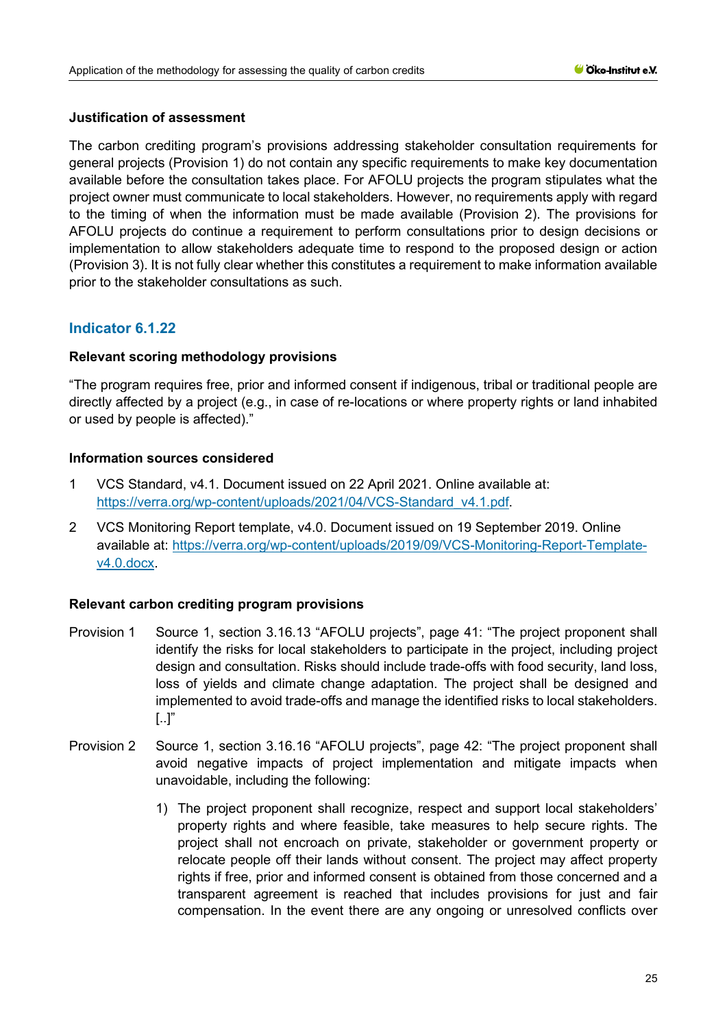## **Justification of assessment**

The carbon crediting program's provisions addressing stakeholder consultation requirements for general projects (Provision 1) do not contain any specific requirements to make key documentation available before the consultation takes place. For AFOLU projects the program stipulates what the project owner must communicate to local stakeholders. However, no requirements apply with regard to the timing of when the information must be made available (Provision 2). The provisions for AFOLU projects do continue a requirement to perform consultations prior to design decisions or implementation to allow stakeholders adequate time to respond to the proposed design or action (Provision 3). It is not fully clear whether this constitutes a requirement to make information available prior to the stakeholder consultations as such.

# **Indicator 6.1.22**

## **Relevant scoring methodology provisions**

"The program requires free, prior and informed consent if indigenous, tribal or traditional people are directly affected by a project (e.g., in case of re-locations or where property rights or land inhabited or used by people is affected)."

## **Information sources considered**

- 1 VCS Standard, v4.1. Document issued on 22 April 2021. Online available at: [https://verra.org/wp-content/uploads/2021/04/VCS-Standard\\_v4.1.pdf.](https://verra.org/wp-content/uploads/2021/04/VCS-Standard_v4.1.pdf)
- 2 VCS Monitoring Report template, v4.0. Document issued on 19 September 2019. Online available at: [https://verra.org/wp-content/uploads/2019/09/VCS-Monitoring-Report-Template](https://verra.org/wp-content/uploads/2019/09/VCS-Monitoring-Report-Template-v4.0.docx)[v4.0.docx.](https://verra.org/wp-content/uploads/2019/09/VCS-Monitoring-Report-Template-v4.0.docx)

# **Relevant carbon crediting program provisions**

- Provision 1 Source 1, section 3.16.13 "AFOLU projects", page 41: "The project proponent shall identify the risks for local stakeholders to participate in the project, including project design and consultation. Risks should include trade-offs with food security, land loss, loss of yields and climate change adaptation. The project shall be designed and implemented to avoid trade-offs and manage the identified risks to local stakeholders. [..]"
- Provision 2 Source 1, section 3.16.16 "AFOLU projects", page 42: "The project proponent shall avoid negative impacts of project implementation and mitigate impacts when unavoidable, including the following:
	- 1) The project proponent shall recognize, respect and support local stakeholders' property rights and where feasible, take measures to help secure rights. The project shall not encroach on private, stakeholder or government property or relocate people off their lands without consent. The project may affect property rights if free, prior and informed consent is obtained from those concerned and a transparent agreement is reached that includes provisions for just and fair compensation. In the event there are any ongoing or unresolved conflicts over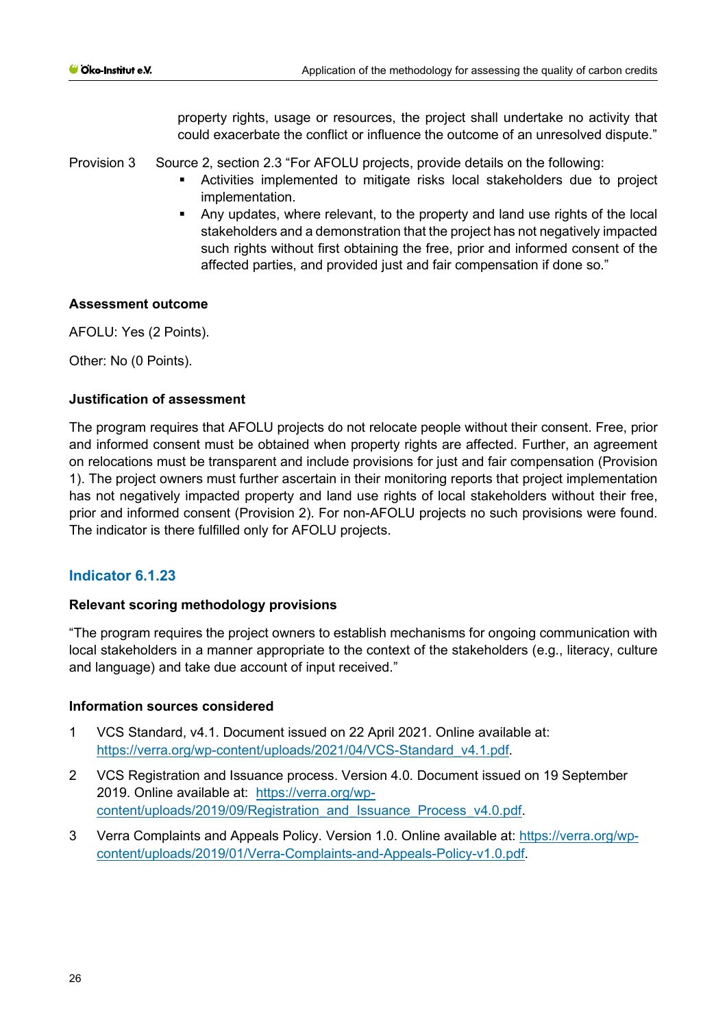property rights, usage or resources, the project shall undertake no activity that could exacerbate the conflict or influence the outcome of an unresolved dispute."

Provision 3 Source 2, section 2.3 "For AFOLU projects, provide details on the following:

- Activities implemented to mitigate risks local stakeholders due to project implementation.
- Any updates, where relevant, to the property and land use rights of the local stakeholders and a demonstration that the project has not negatively impacted such rights without first obtaining the free, prior and informed consent of the affected parties, and provided just and fair compensation if done so."

# **Assessment outcome**

AFOLU: Yes (2 Points).

Other: No (0 Points).

# **Justification of assessment**

The program requires that AFOLU projects do not relocate people without their consent. Free, prior and informed consent must be obtained when property rights are affected. Further, an agreement on relocations must be transparent and include provisions for just and fair compensation (Provision 1). The project owners must further ascertain in their monitoring reports that project implementation has not negatively impacted property and land use rights of local stakeholders without their free, prior and informed consent (Provision 2). For non-AFOLU projects no such provisions were found. The indicator is there fulfilled only for AFOLU projects.

# **Indicator 6.1.23**

# **Relevant scoring methodology provisions**

"The program requires the project owners to establish mechanisms for ongoing communication with local stakeholders in a manner appropriate to the context of the stakeholders (e.g., literacy, culture and language) and take due account of input received."

# **Information sources considered**

- 1 VCS Standard, v4.1. Document issued on 22 April 2021. Online available at: [https://verra.org/wp-content/uploads/2021/04/VCS-Standard\\_v4.1.pdf.](https://verra.org/wp-content/uploads/2021/04/VCS-Standard_v4.1.pdf)
- 2 VCS Registration and Issuance process. Version 4.0. Document issued on 19 September 2019. Online available at: https://verra.org/wpcontent/uploads/2019/09/Registration\_and\_Issuance\_Process\_v4.0.pdf.
- 3 Verra Complaints and Appeals Policy. Version 1.0. Online available at: [https://verra.org/wp](https://verra.org/wp-content/uploads/2019/01/Verra-Complaints-and-Appeals-Policy-v1.0.pdf)[content/uploads/2019/01/Verra-Complaints-and-Appeals-Policy-v1.0.pdf.](https://verra.org/wp-content/uploads/2019/01/Verra-Complaints-and-Appeals-Policy-v1.0.pdf)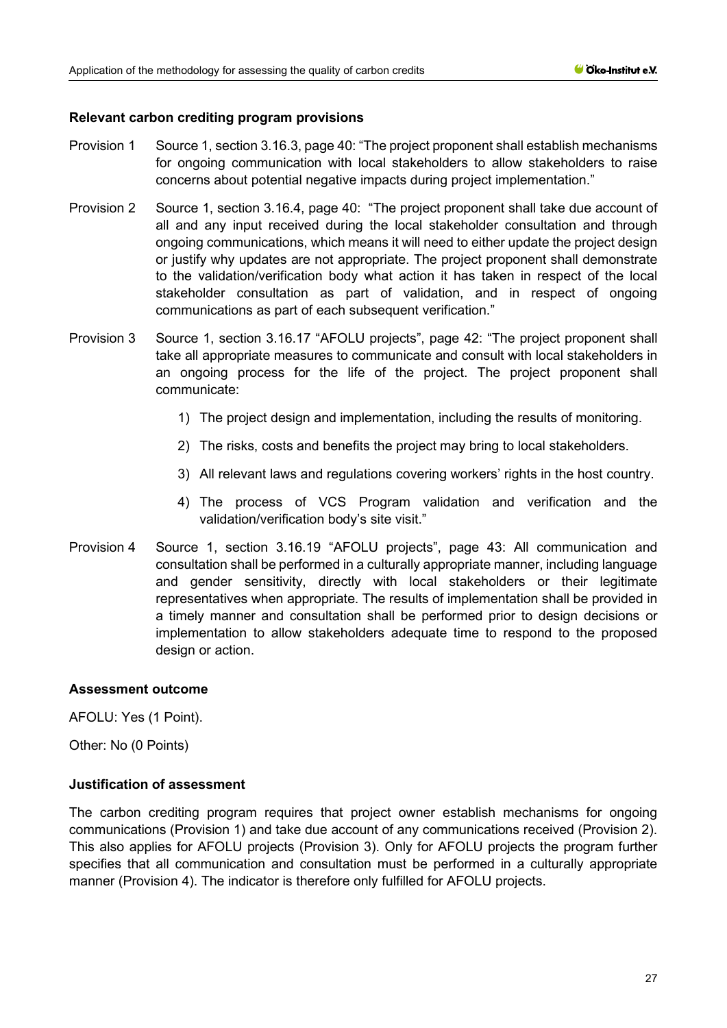## **Relevant carbon crediting program provisions**

- Provision 1 Source 1, section 3.16.3, page 40: "The project proponent shall establish mechanisms for ongoing communication with local stakeholders to allow stakeholders to raise concerns about potential negative impacts during project implementation."
- Provision 2 Source 1, section 3.16.4, page 40: "The project proponent shall take due account of all and any input received during the local stakeholder consultation and through ongoing communications, which means it will need to either update the project design or justify why updates are not appropriate. The project proponent shall demonstrate to the validation/verification body what action it has taken in respect of the local stakeholder consultation as part of validation, and in respect of ongoing communications as part of each subsequent verification."
- Provision 3 Source 1, section 3.16.17 "AFOLU projects", page 42: "The project proponent shall take all appropriate measures to communicate and consult with local stakeholders in an ongoing process for the life of the project. The project proponent shall communicate:
	- 1) The project design and implementation, including the results of monitoring.
	- 2) The risks, costs and benefits the project may bring to local stakeholders.
	- 3) All relevant laws and regulations covering workers' rights in the host country.
	- 4) The process of VCS Program validation and verification and the validation/verification body's site visit."
- Provision 4 Source 1, section 3.16.19 "AFOLU projects", page 43: All communication and consultation shall be performed in a culturally appropriate manner, including language and gender sensitivity, directly with local stakeholders or their legitimate representatives when appropriate. The results of implementation shall be provided in a timely manner and consultation shall be performed prior to design decisions or implementation to allow stakeholders adequate time to respond to the proposed design or action.

#### **Assessment outcome**

AFOLU: Yes (1 Point).

Other: No (0 Points)

#### **Justification of assessment**

The carbon crediting program requires that project owner establish mechanisms for ongoing communications (Provision 1) and take due account of any communications received (Provision 2). This also applies for AFOLU projects (Provision 3). Only for AFOLU projects the program further specifies that all communication and consultation must be performed in a culturally appropriate manner (Provision 4). The indicator is therefore only fulfilled for AFOLU projects.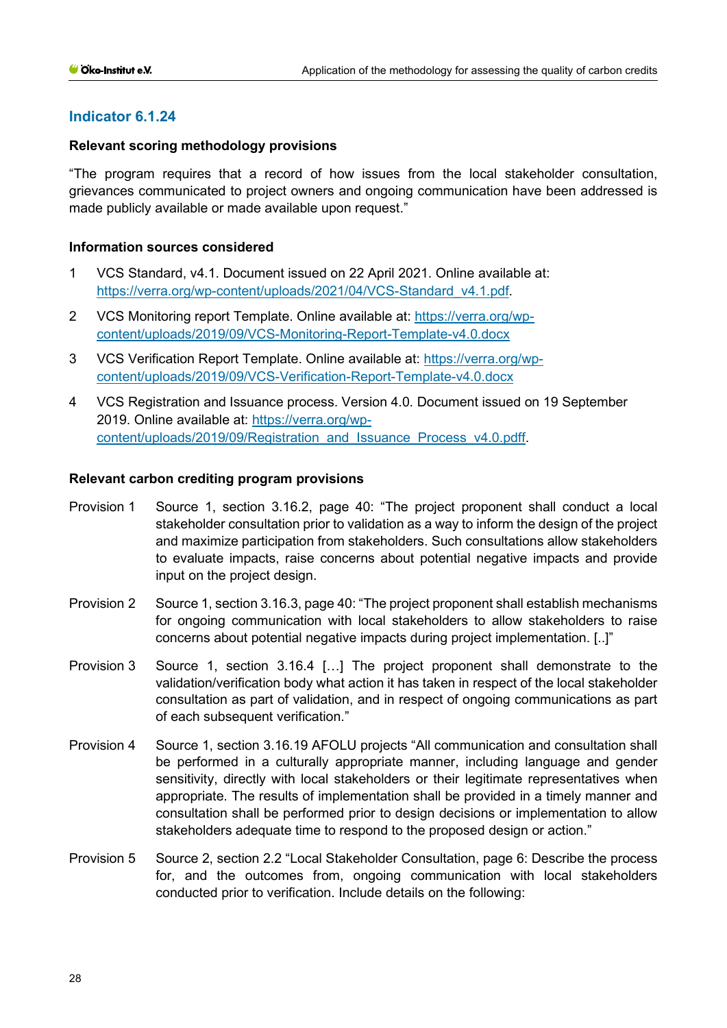# **Relevant scoring methodology provisions**

"The program requires that a record of how issues from the local stakeholder consultation, grievances communicated to project owners and ongoing communication have been addressed is made publicly available or made available upon request."

## **Information sources considered**

- 1 VCS Standard, v4.1. Document issued on 22 April 2021. Online available at: [https://verra.org/wp-content/uploads/2021/04/VCS-Standard\\_v4.1.pdf.](https://verra.org/wp-content/uploads/2021/04/VCS-Standard_v4.1.pdf)
- 2 VCS Monitoring report Template. Online available at: [https://verra.org/wp](https://verra.org/wp-content/uploads/2019/09/VCS-Monitoring-Report-Template-v4.0.docx)[content/uploads/2019/09/VCS-Monitoring-Report-Template-v4.0.docx](https://verra.org/wp-content/uploads/2019/09/VCS-Monitoring-Report-Template-v4.0.docx)
- 3 VCS Verification Report Template. Online available at: [https://verra.org/wp](https://verra.org/wp-content/uploads/2019/09/VCS-Verification-Report-Template-v4.0.docx)[content/uploads/2019/09/VCS-Verification-Report-Template-v4.0.docx](https://verra.org/wp-content/uploads/2019/09/VCS-Verification-Report-Template-v4.0.docx)
- 4 VCS Registration and Issuance process. Version 4.0. Document issued on 19 September 2019. Online available at: [https://verra.org/wp](https://verra.org/wp-content/uploads/2019/09/Registration_and_Issuance_Process_v4.0.pdff)[content/uploads/2019/09/Registration\\_and\\_Issuance\\_Process\\_v4.0.pdff.](https://verra.org/wp-content/uploads/2019/09/Registration_and_Issuance_Process_v4.0.pdff)

## **Relevant carbon crediting program provisions**

- Provision 1 Source 1, section 3.16.2, page 40: "The project proponent shall conduct a local stakeholder consultation prior to validation as a way to inform the design of the project and maximize participation from stakeholders. Such consultations allow stakeholders to evaluate impacts, raise concerns about potential negative impacts and provide input on the project design.
- Provision 2 Source 1, section 3.16.3, page 40: "The project proponent shall establish mechanisms for ongoing communication with local stakeholders to allow stakeholders to raise concerns about potential negative impacts during project implementation. [..]"
- Provision 3 Source 1, section 3.16.4 [...] The project proponent shall demonstrate to the validation/verification body what action it has taken in respect of the local stakeholder consultation as part of validation, and in respect of ongoing communications as part of each subsequent verification."
- Provision 4 Source 1, section 3.16.19 AFOLU projects "All communication and consultation shall be performed in a culturally appropriate manner, including language and gender sensitivity, directly with local stakeholders or their legitimate representatives when appropriate. The results of implementation shall be provided in a timely manner and consultation shall be performed prior to design decisions or implementation to allow stakeholders adequate time to respond to the proposed design or action."
- Provision 5 Source 2, section 2.2 "Local Stakeholder Consultation, page 6: Describe the process for, and the outcomes from, ongoing communication with local stakeholders conducted prior to verification. Include details on the following: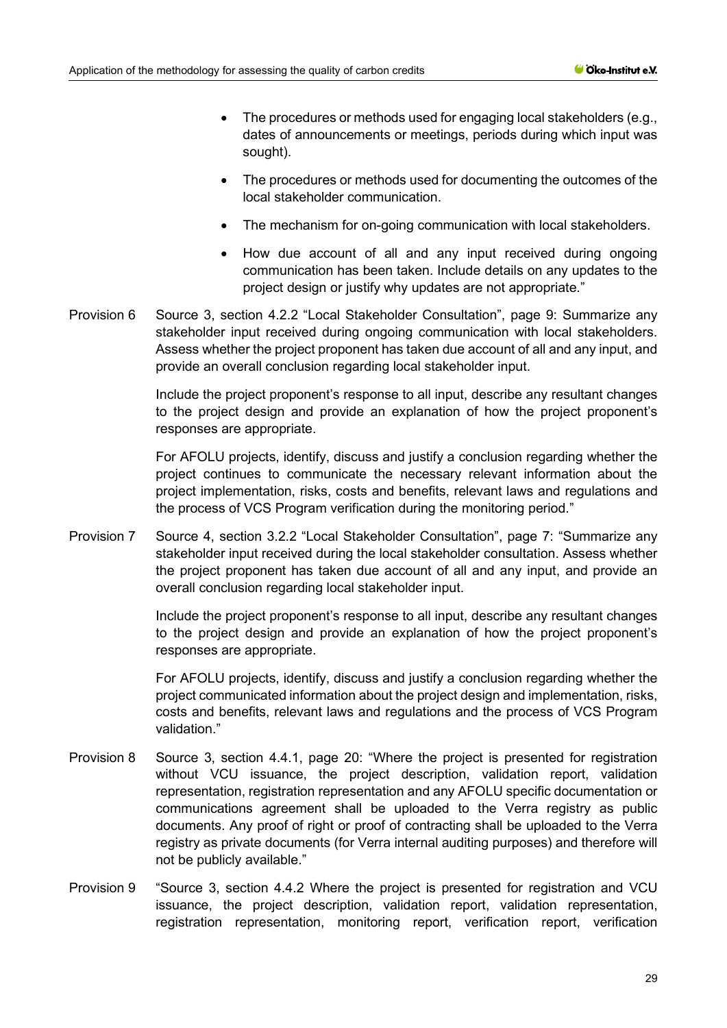- The procedures or methods used for engaging local stakeholders (e.g., dates of announcements or meetings, periods during which input was sought).
- The procedures or methods used for documenting the outcomes of the local stakeholder communication.
- The mechanism for on-going communication with local stakeholders.
- How due account of all and any input received during ongoing communication has been taken. Include details on any updates to the project design or justify why updates are not appropriate."
- Provision 6 Source 3, section 4.2.2 "Local Stakeholder Consultation", page 9: Summarize any stakeholder input received during ongoing communication with local stakeholders. Assess whether the project proponent has taken due account of all and any input, and provide an overall conclusion regarding local stakeholder input.

Include the project proponent's response to all input, describe any resultant changes to the project design and provide an explanation of how the project proponent's responses are appropriate.

For AFOLU projects, identify, discuss and justify a conclusion regarding whether the project continues to communicate the necessary relevant information about the project implementation, risks, costs and benefits, relevant laws and regulations and the process of VCS Program verification during the monitoring period."

Provision 7 Source 4, section 3.2.2 "Local Stakeholder Consultation", page 7: "Summarize any stakeholder input received during the local stakeholder consultation. Assess whether the project proponent has taken due account of all and any input, and provide an overall conclusion regarding local stakeholder input.

> Include the project proponent's response to all input, describe any resultant changes to the project design and provide an explanation of how the project proponent's responses are appropriate.

> For AFOLU projects, identify, discuss and justify a conclusion regarding whether the project communicated information about the project design and implementation, risks, costs and benefits, relevant laws and regulations and the process of VCS Program validation."

- Provision 8 Source 3, section 4.4.1, page 20: "Where the project is presented for registration without VCU issuance, the project description, validation report, validation representation, registration representation and any AFOLU specific documentation or communications agreement shall be uploaded to the Verra registry as public documents. Any proof of right or proof of contracting shall be uploaded to the Verra registry as private documents (for Verra internal auditing purposes) and therefore will not be publicly available."
- Provision 9 "Source 3, section 4.4.2 Where the project is presented for registration and VCU issuance, the project description, validation report, validation representation, registration representation, monitoring report, verification report, verification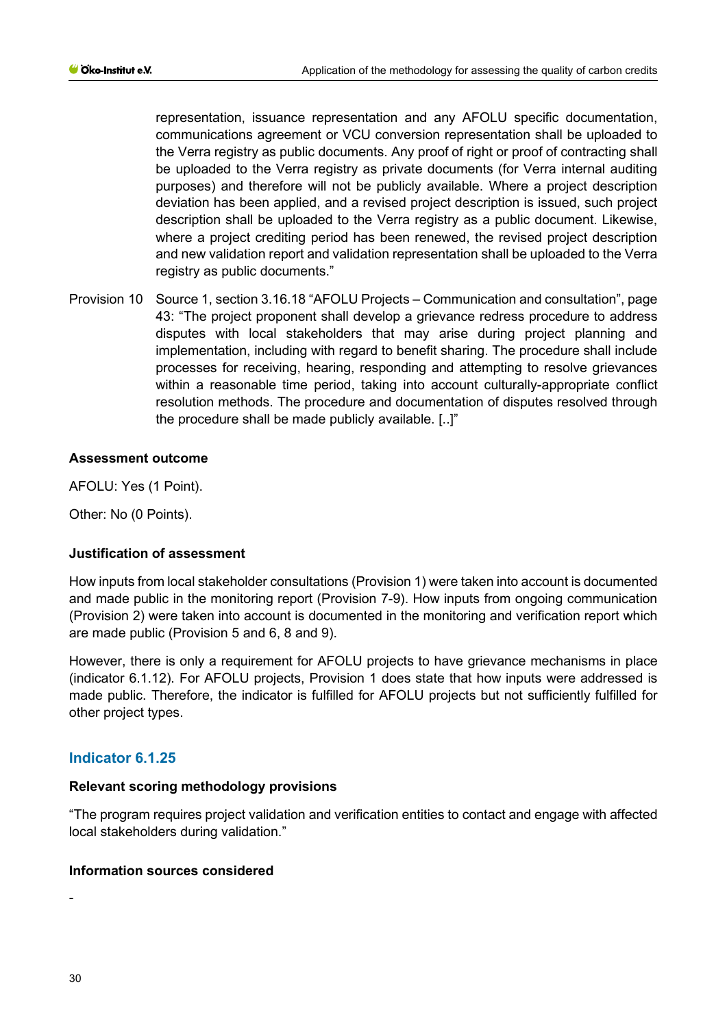representation, issuance representation and any AFOLU specific documentation, communications agreement or VCU conversion representation shall be uploaded to the Verra registry as public documents. Any proof of right or proof of contracting shall be uploaded to the Verra registry as private documents (for Verra internal auditing purposes) and therefore will not be publicly available. Where a project description deviation has been applied, and a revised project description is issued, such project description shall be uploaded to the Verra registry as a public document. Likewise, where a project crediting period has been renewed, the revised project description and new validation report and validation representation shall be uploaded to the Verra registry as public documents."

Provision 10 Source 1, section 3.16.18 "AFOLU Projects – Communication and consultation", page 43: "The project proponent shall develop a grievance redress procedure to address disputes with local stakeholders that may arise during project planning and implementation, including with regard to benefit sharing. The procedure shall include processes for receiving, hearing, responding and attempting to resolve grievances within a reasonable time period, taking into account culturally-appropriate conflict resolution methods. The procedure and documentation of disputes resolved through the procedure shall be made publicly available. [..]"

# **Assessment outcome**

AFOLU: Yes (1 Point).

Other: No (0 Points).

# **Justification of assessment**

How inputs from local stakeholder consultations (Provision 1) were taken into account is documented and made public in the monitoring report (Provision 7-9). How inputs from ongoing communication (Provision 2) were taken into account is documented in the monitoring and verification report which are made public (Provision 5 and 6, 8 and 9).

However, there is only a requirement for AFOLU projects to have grievance mechanisms in place (indicator 6.1.12). For AFOLU projects, Provision 1 does state that how inputs were addressed is made public. Therefore, the indicator is fulfilled for AFOLU projects but not sufficiently fulfilled for other project types.

# **Indicator 6.1.25**

#### **Relevant scoring methodology provisions**

"The program requires project validation and verification entities to contact and engage with affected local stakeholders during validation."

#### **Information sources considered**

-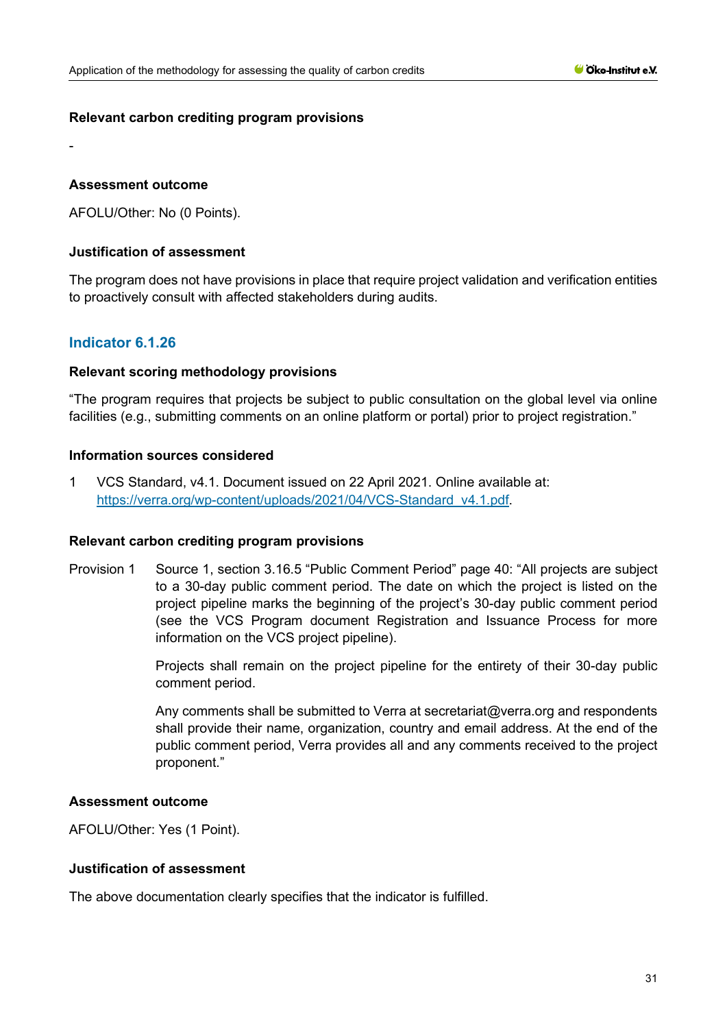## **Relevant carbon crediting program provisions**

## **Assessment outcome**

-

AFOLU/Other: No (0 Points).

## **Justification of assessment**

The program does not have provisions in place that require project validation and verification entities to proactively consult with affected stakeholders during audits.

# **Indicator 6.1.26**

## **Relevant scoring methodology provisions**

"The program requires that projects be subject to public consultation on the global level via online facilities (e.g., submitting comments on an online platform or portal) prior to project registration."

## **Information sources considered**

1 VCS Standard, v4.1. Document issued on 22 April 2021. Online available at: [https://verra.org/wp-content/uploads/2021/04/VCS-Standard\\_v4.1.pdf.](https://verra.org/wp-content/uploads/2021/04/VCS-Standard_v4.1.pdf)

#### **Relevant carbon crediting program provisions**

Provision 1 Source 1, section 3.16.5 "Public Comment Period" page 40: "All projects are subject to a 30-day public comment period. The date on which the project is listed on the project pipeline marks the beginning of the project's 30-day public comment period (see the VCS Program document Registration and Issuance Process for more information on the VCS project pipeline).

> Projects shall remain on the project pipeline for the entirety of their 30-day public comment period.

> Any comments shall be submitted to Verra at secretariat@verra.org and respondents shall provide their name, organization, country and email address. At the end of the public comment period, Verra provides all and any comments received to the project proponent."

#### **Assessment outcome**

AFOLU/Other: Yes (1 Point).

#### **Justification of assessment**

The above documentation clearly specifies that the indicator is fulfilled.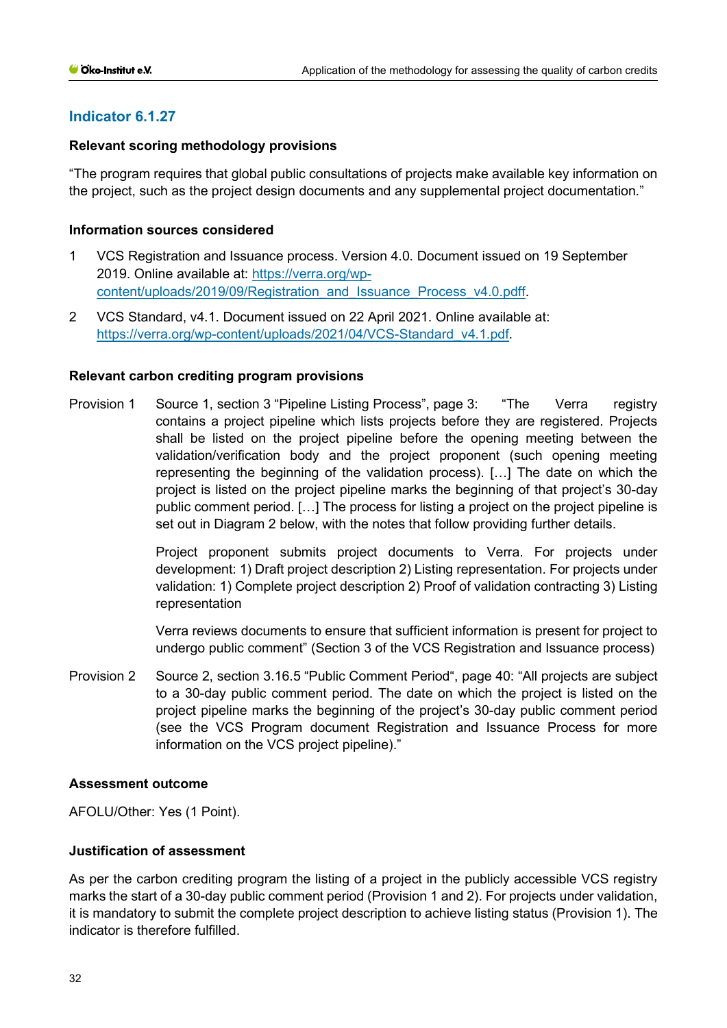# **Relevant scoring methodology provisions**

"The program requires that global public consultations of projects make available key information on the project, such as the project design documents and any supplemental project documentation."

## **Information sources considered**

- 1 VCS Registration and Issuance process. Version 4.0. Document issued on 19 September 2019. Online available at: [https://verra.org/wp](https://verra.org/wp-content/uploads/2019/09/Registration_and_Issuance_Process_v4.0.pdff)[content/uploads/2019/09/Registration\\_and\\_Issuance\\_Process\\_v4.0.pdff.](https://verra.org/wp-content/uploads/2019/09/Registration_and_Issuance_Process_v4.0.pdff)
- 2 VCS Standard, v4.1. Document issued on 22 April 2021. Online available at: [https://verra.org/wp-content/uploads/2021/04/VCS-Standard\\_v4.1.pdf.](https://verra.org/wp-content/uploads/2021/04/VCS-Standard_v4.1.pdf)

## **Relevant carbon crediting program provisions**

Provision 1 Source 1, section 3 "Pipeline Listing Process", page 3: "The Verra registry contains a project pipeline which lists projects before they are registered. Projects shall be listed on the project pipeline before the opening meeting between the validation/verification body and the project proponent (such opening meeting representing the beginning of the validation process). […] The date on which the project is listed on the project pipeline marks the beginning of that project's 30-day public comment period. […] The process for listing a project on the project pipeline is set out in Diagram 2 below, with the notes that follow providing further details.

> Project proponent submits project documents to Verra. For projects under development: 1) Draft project description 2) Listing representation. For projects under validation: 1) Complete project description 2) Proof of validation contracting 3) Listing representation

> Verra reviews documents to ensure that sufficient information is present for project to undergo public comment" (Section 3 of the VCS Registration and Issuance process)

Provision 2 Source 2, section 3.16.5 "Public Comment Period", page 40: "All projects are subject to a 30-day public comment period. The date on which the project is listed on the project pipeline marks the beginning of the project's 30-day public comment period (see the VCS Program document Registration and Issuance Process for more information on the VCS project pipeline)."

#### **Assessment outcome**

AFOLU/Other: Yes (1 Point).

## **Justification of assessment**

As per the carbon crediting program the listing of a project in the publicly accessible VCS registry marks the start of a 30-day public comment period (Provision 1 and 2). For projects under validation, it is mandatory to submit the complete project description to achieve listing status (Provision 1). The indicator is therefore fulfilled.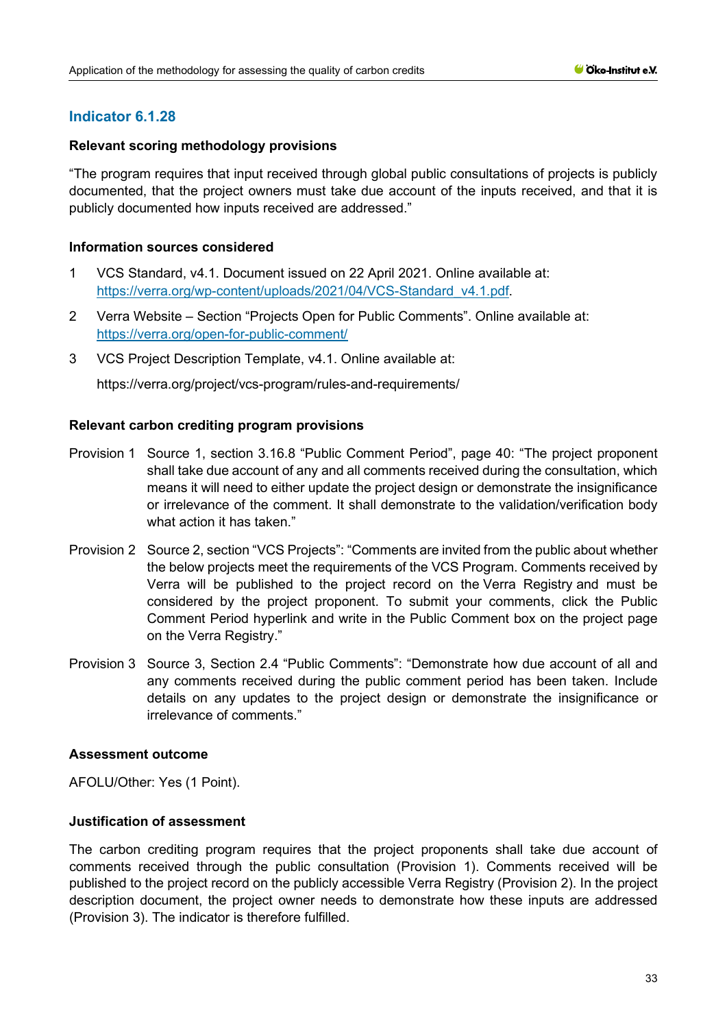# **Relevant scoring methodology provisions**

"The program requires that input received through global public consultations of projects is publicly documented, that the project owners must take due account of the inputs received, and that it is publicly documented how inputs received are addressed."

# **Information sources considered**

- 1 VCS Standard, v4.1. Document issued on 22 April 2021. Online available at: [https://verra.org/wp-content/uploads/2021/04/VCS-Standard\\_v4.1.pdf.](https://verra.org/wp-content/uploads/2021/04/VCS-Standard_v4.1.pdf)
- 2 Verra Website Section "Projects Open for Public Comments". Online available at: <https://verra.org/open-for-public-comment/>
- 3 VCS Project Description Template, v4.1. Online available at:

https://verra.org/project/vcs-program/rules-and-requirements/

# **Relevant carbon crediting program provisions**

- Provision 1 Source 1, section 3.16.8 "Public Comment Period", page 40: "The project proponent shall take due account of any and all comments received during the consultation, which means it will need to either update the project design or demonstrate the insignificance or irrelevance of the comment. It shall demonstrate to the validation/verification body what action it has taken."
- Provision 2 Source 2, section "VCS Projects": "Comments are invited from the public about whether the below projects meet the requirements of the [VCS](https://verra.org/project/vcs-program/) Program. Comments received by Verra will be published to the project record on the [Verra Registry](https://registry.verra.org/) and must be considered by the project proponent. To submit your comments, click the Public Comment Period hyperlink and write in the Public Comment box on the project page on the Verra Registry."
- Provision 3 Source 3, Section 2.4 "Public Comments": "Demonstrate how due account of all and any comments received during the public comment period has been taken. Include details on any updates to the project design or demonstrate the insignificance or irrelevance of comments."

# **Assessment outcome**

AFOLU/Other: Yes (1 Point).

## **Justification of assessment**

The carbon crediting program requires that the project proponents shall take due account of comments received through the public consultation (Provision 1). Comments received will be published to the project record on the publicly accessible Verra Registry (Provision 2). In the project description document, the project owner needs to demonstrate how these inputs are addressed (Provision 3). The indicator is therefore fulfilled.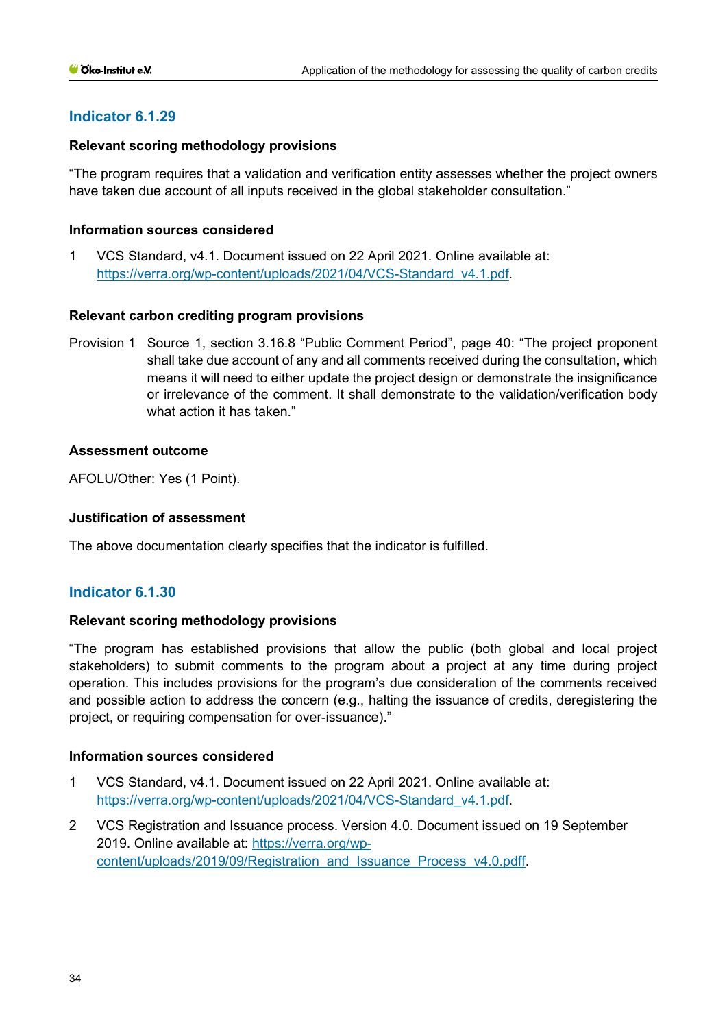# **Relevant scoring methodology provisions**

"The program requires that a validation and verification entity assesses whether the project owners have taken due account of all inputs received in the global stakeholder consultation."

## **Information sources considered**

1 VCS Standard, v4.1. Document issued on 22 April 2021. Online available at: [https://verra.org/wp-content/uploads/2021/04/VCS-Standard\\_v4.1.pdf.](https://verra.org/wp-content/uploads/2021/04/VCS-Standard_v4.1.pdf)

## **Relevant carbon crediting program provisions**

Provision 1 Source 1, section 3.16.8 "Public Comment Period", page 40: "The project proponent shall take due account of any and all comments received during the consultation, which means it will need to either update the project design or demonstrate the insignificance or irrelevance of the comment. It shall demonstrate to the validation/verification body what action it has taken."

## **Assessment outcome**

AFOLU/Other: Yes (1 Point).

# **Justification of assessment**

The above documentation clearly specifies that the indicator is fulfilled.

# **Indicator 6.1.30**

# **Relevant scoring methodology provisions**

"The program has established provisions that allow the public (both global and local project stakeholders) to submit comments to the program about a project at any time during project operation. This includes provisions for the program's due consideration of the comments received and possible action to address the concern (e.g., halting the issuance of credits, deregistering the project, or requiring compensation for over-issuance)."

## **Information sources considered**

- 1 VCS Standard, v4.1. Document issued on 22 April 2021. Online available at: [https://verra.org/wp-content/uploads/2021/04/VCS-Standard\\_v4.1.pdf.](https://verra.org/wp-content/uploads/2021/04/VCS-Standard_v4.1.pdf)
- 2 VCS Registration and Issuance process. Version 4.0. Document issued on 19 September 2019. Online available at: [https://verra.org/wp](https://verra.org/wp-content/uploads/2019/09/Registration_and_Issuance_Process_v4.0.pdff)[content/uploads/2019/09/Registration\\_and\\_Issuance\\_Process\\_v4.0.pdff.](https://verra.org/wp-content/uploads/2019/09/Registration_and_Issuance_Process_v4.0.pdff)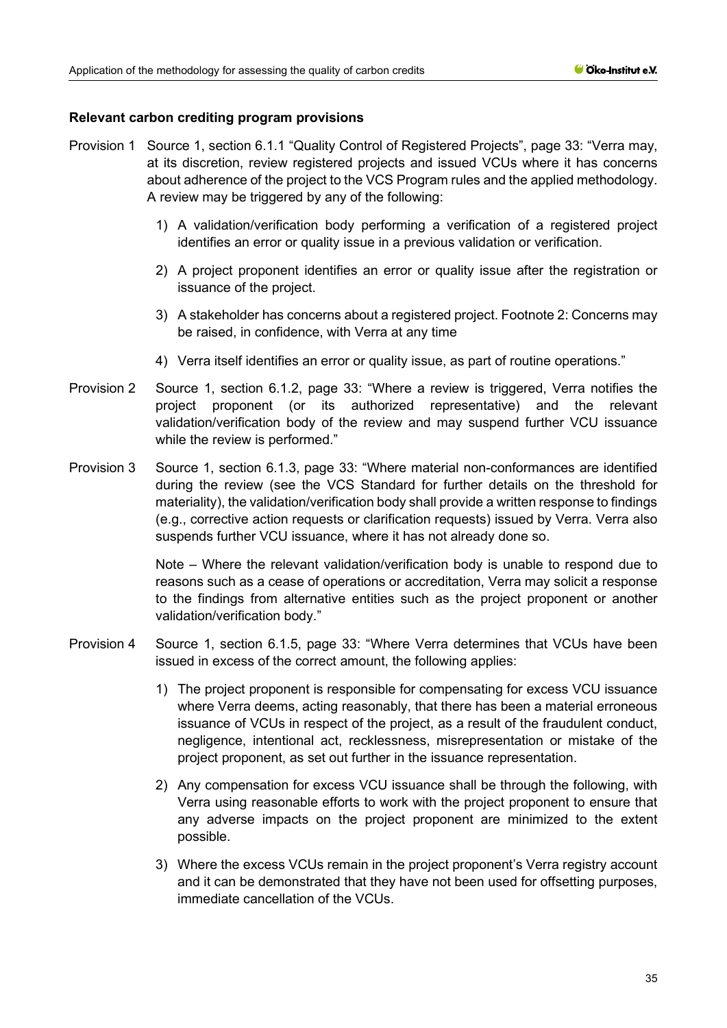## **Relevant carbon crediting program provisions**

- Provision 1 Source 1, section 6.1.1 "Quality Control of Registered Projects", page 33: "Verra may, at its discretion, review registered projects and issued VCUs where it has concerns about adherence of the project to the VCS Program rules and the applied methodology. A review may be triggered by any of the following:
	- 1) A validation/verification body performing a verification of a registered project identifies an error or quality issue in a previous validation or verification.
	- 2) A project proponent identifies an error or quality issue after the registration or issuance of the project.
	- 3) A stakeholder has concerns about a registered project. Footnote 2: Concerns may be raised, in confidence, with Verra at any time
	- 4) Verra itself identifies an error or quality issue, as part of routine operations."
- Provision 2 Source 1, section 6.1.2, page 33: "Where a review is triggered, Verra notifies the project proponent (or its authorized representative) and the relevant validation/verification body of the review and may suspend further VCU issuance while the review is performed."
- Provision 3 Source 1, section 6.1.3, page 33: "Where material non-conformances are identified during the review (see the VCS Standard for further details on the threshold for materiality), the validation/verification body shall provide a written response to findings (e.g., corrective action requests or clarification requests) issued by Verra. Verra also suspends further VCU issuance, where it has not already done so.

Note – Where the relevant validation/verification body is unable to respond due to reasons such as a cease of operations or accreditation, Verra may solicit a response to the findings from alternative entities such as the project proponent or another validation/verification body."

- Provision 4 Source 1, section 6.1.5, page 33: "Where Verra determines that VCUs have been issued in excess of the correct amount, the following applies:
	- 1) The project proponent is responsible for compensating for excess VCU issuance where Verra deems, acting reasonably, that there has been a material erroneous issuance of VCUs in respect of the project, as a result of the fraudulent conduct, negligence, intentional act, recklessness, misrepresentation or mistake of the project proponent, as set out further in the issuance representation.
	- 2) Any compensation for excess VCU issuance shall be through the following, with Verra using reasonable efforts to work with the project proponent to ensure that any adverse impacts on the project proponent are minimized to the extent possible.
	- 3) Where the excess VCUs remain in the project proponent's Verra registry account and it can be demonstrated that they have not been used for offsetting purposes, immediate cancellation of the VCUs.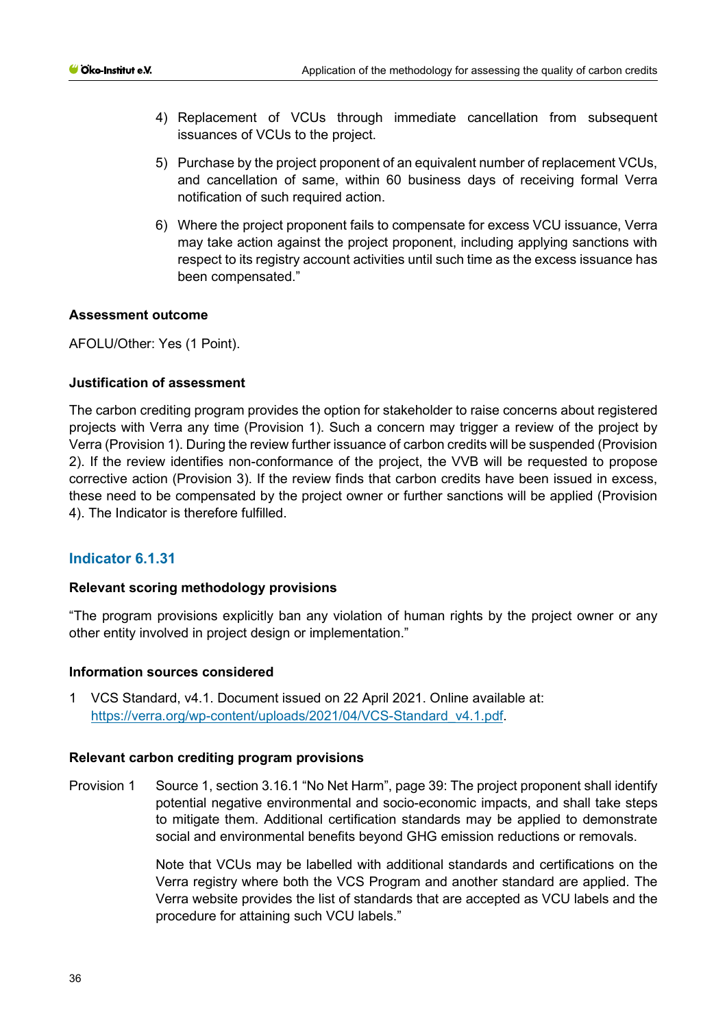- 4) Replacement of VCUs through immediate cancellation from subsequent issuances of VCUs to the project.
- 5) Purchase by the project proponent of an equivalent number of replacement VCUs, and cancellation of same, within 60 business days of receiving formal Verra notification of such required action.
- 6) Where the project proponent fails to compensate for excess VCU issuance, Verra may take action against the project proponent, including applying sanctions with respect to its registry account activities until such time as the excess issuance has been compensated."

# **Assessment outcome**

AFOLU/Other: Yes (1 Point).

# **Justification of assessment**

The carbon crediting program provides the option for stakeholder to raise concerns about registered projects with Verra any time (Provision 1). Such a concern may trigger a review of the project by Verra (Provision 1). During the review further issuance of carbon credits will be suspended (Provision 2). If the review identifies non-conformance of the project, the VVB will be requested to propose corrective action (Provision 3). If the review finds that carbon credits have been issued in excess, these need to be compensated by the project owner or further sanctions will be applied (Provision 4). The Indicator is therefore fulfilled.

# **Indicator 6.1.31**

#### **Relevant scoring methodology provisions**

"The program provisions explicitly ban any violation of human rights by the project owner or any other entity involved in project design or implementation."

#### **Information sources considered**

1 VCS Standard, v4.1. Document issued on 22 April 2021. Online available at: [https://verra.org/wp-content/uploads/2021/04/VCS-Standard\\_v4.1.pdf.](https://verra.org/wp-content/uploads/2021/04/VCS-Standard_v4.1.pdf)

#### **Relevant carbon crediting program provisions**

Provision 1 Source 1, section 3.16.1 "No Net Harm", page 39: The project proponent shall identify potential negative environmental and socio-economic impacts, and shall take steps to mitigate them. Additional certification standards may be applied to demonstrate social and environmental benefits beyond GHG emission reductions or removals.

> Note that VCUs may be labelled with additional standards and certifications on the Verra registry where both the VCS Program and another standard are applied. The Verra website provides the list of standards that are accepted as VCU labels and the procedure for attaining such VCU labels."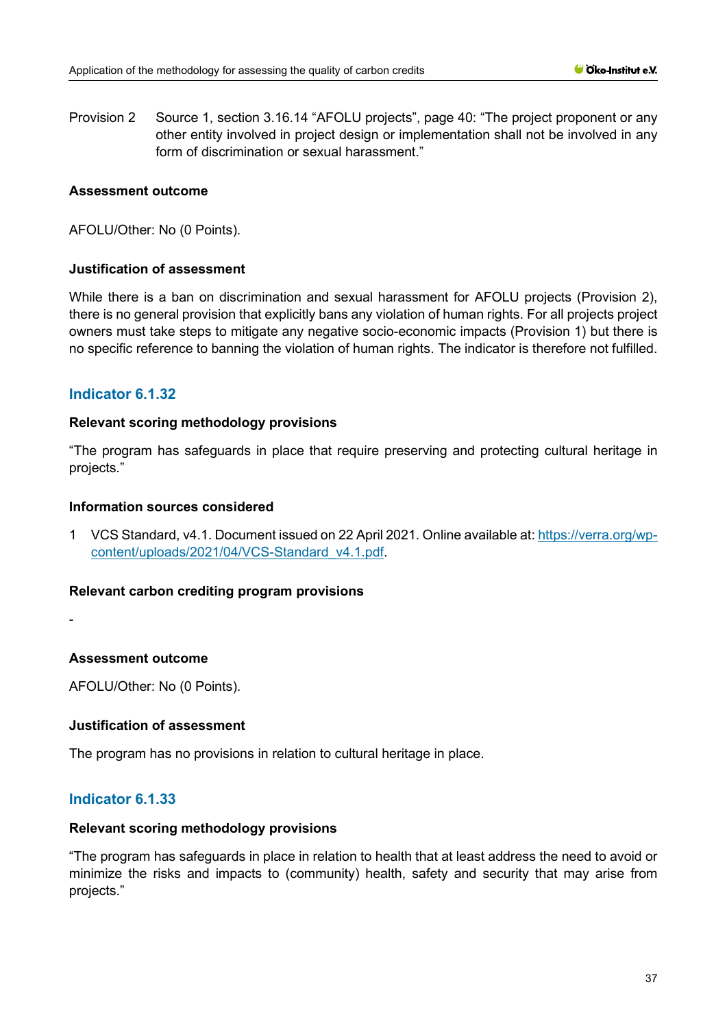Provision 2 Source 1, section 3.16.14 "AFOLU projects", page 40: "The project proponent or any other entity involved in project design or implementation shall not be involved in any form of discrimination or sexual harassment."

# **Assessment outcome**

AFOLU/Other: No (0 Points).

# **Justification of assessment**

While there is a ban on discrimination and sexual harassment for AFOLU projects (Provision 2), there is no general provision that explicitly bans any violation of human rights. For all projects project owners must take steps to mitigate any negative socio-economic impacts (Provision 1) but there is no specific reference to banning the violation of human rights. The indicator is therefore not fulfilled.

# **Indicator 6.1.32**

# **Relevant scoring methodology provisions**

"The program has safeguards in place that require preserving and protecting cultural heritage in projects."

# **Information sources considered**

1 VCS Standard, v4.1. Document issued on 22 April 2021. Online available at: [https://verra.org/wp](https://verra.org/wp-content/uploads/2021/04/VCS-Standard_v4.1.pdf)[content/uploads/2021/04/VCS-Standard\\_v4.1.pdf.](https://verra.org/wp-content/uploads/2021/04/VCS-Standard_v4.1.pdf)

# **Relevant carbon crediting program provisions**

-

# **Assessment outcome**

AFOLU/Other: No (0 Points).

# **Justification of assessment**

The program has no provisions in relation to cultural heritage in place.

# **Indicator 6.1.33**

# **Relevant scoring methodology provisions**

"The program has safeguards in place in relation to health that at least address the need to avoid or minimize the risks and impacts to (community) health, safety and security that may arise from projects."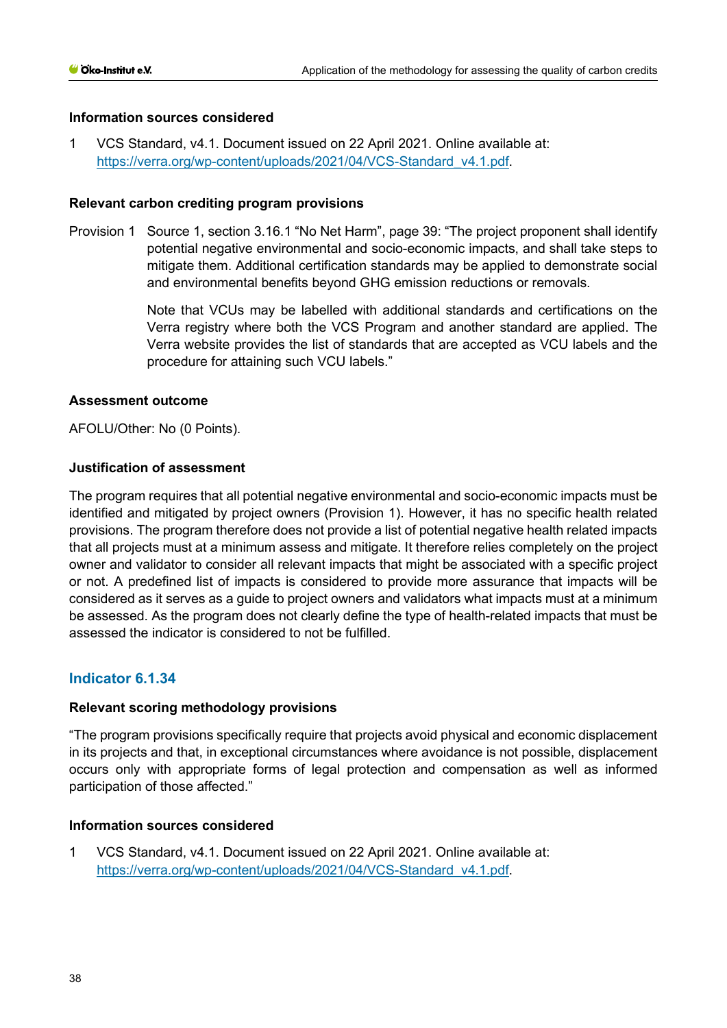1 VCS Standard, v4.1. Document issued on 22 April 2021. Online available at: [https://verra.org/wp-content/uploads/2021/04/VCS-Standard\\_v4.1.pdf.](https://verra.org/wp-content/uploads/2021/04/VCS-Standard_v4.1.pdf)

## **Relevant carbon crediting program provisions**

Provision 1 Source 1, section 3.16.1 "No Net Harm", page 39: "The project proponent shall identify potential negative environmental and socio-economic impacts, and shall take steps to mitigate them. Additional certification standards may be applied to demonstrate social and environmental benefits beyond GHG emission reductions or removals.

> Note that VCUs may be labelled with additional standards and certifications on the Verra registry where both the VCS Program and another standard are applied. The Verra website provides the list of standards that are accepted as VCU labels and the procedure for attaining such VCU labels."

## **Assessment outcome**

AFOLU/Other: No (0 Points).

## **Justification of assessment**

The program requires that all potential negative environmental and socio-economic impacts must be identified and mitigated by project owners (Provision 1). However, it has no specific health related provisions. The program therefore does not provide a list of potential negative health related impacts that all projects must at a minimum assess and mitigate. It therefore relies completely on the project owner and validator to consider all relevant impacts that might be associated with a specific project or not. A predefined list of impacts is considered to provide more assurance that impacts will be considered as it serves as a guide to project owners and validators what impacts must at a minimum be assessed. As the program does not clearly define the type of health-related impacts that must be assessed the indicator is considered to not be fulfilled.

# **Indicator 6.1.34**

# **Relevant scoring methodology provisions**

"The program provisions specifically require that projects avoid physical and economic displacement in its projects and that, in exceptional circumstances where avoidance is not possible, displacement occurs only with appropriate forms of legal protection and compensation as well as informed participation of those affected."

# **Information sources considered**

1 VCS Standard, v4.1. Document issued on 22 April 2021. Online available at: [https://verra.org/wp-content/uploads/2021/04/VCS-Standard\\_v4.1.pdf.](https://verra.org/wp-content/uploads/2021/04/VCS-Standard_v4.1.pdf)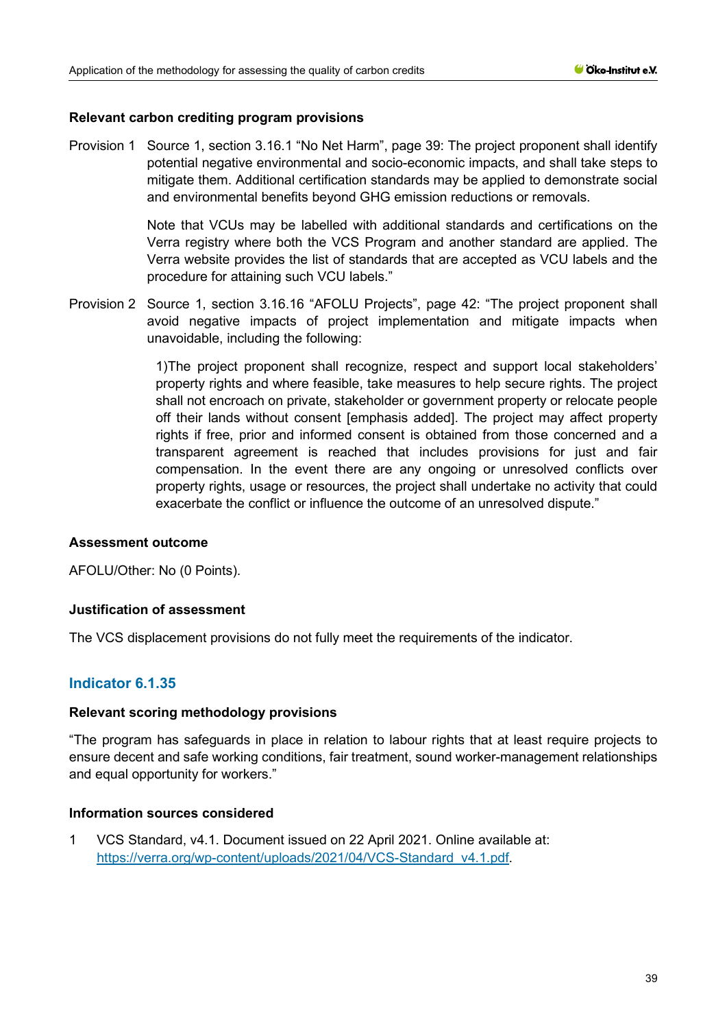## **Relevant carbon crediting program provisions**

Provision 1 Source 1, section 3.16.1 "No Net Harm", page 39: The project proponent shall identify potential negative environmental and socio-economic impacts, and shall take steps to mitigate them. Additional certification standards may be applied to demonstrate social and environmental benefits beyond GHG emission reductions or removals.

> Note that VCUs may be labelled with additional standards and certifications on the Verra registry where both the VCS Program and another standard are applied. The Verra website provides the list of standards that are accepted as VCU labels and the procedure for attaining such VCU labels."

Provision 2 Source 1, section 3.16.16 "AFOLU Projects", page 42: "The project proponent shall avoid negative impacts of project implementation and mitigate impacts when unavoidable, including the following:

> 1)The project proponent shall recognize, respect and support local stakeholders' property rights and where feasible, take measures to help secure rights. The project shall not encroach on private, stakeholder or government property or relocate people off their lands without consent [emphasis added]. The project may affect property rights if free, prior and informed consent is obtained from those concerned and a transparent agreement is reached that includes provisions for just and fair compensation. In the event there are any ongoing or unresolved conflicts over property rights, usage or resources, the project shall undertake no activity that could exacerbate the conflict or influence the outcome of an unresolved dispute."

#### **Assessment outcome**

AFOLU/Other: No (0 Points).

# **Justification of assessment**

The VCS displacement provisions do not fully meet the requirements of the indicator.

# **Indicator 6.1.35**

#### **Relevant scoring methodology provisions**

"The program has safeguards in place in relation to labour rights that at least require projects to ensure decent and safe working conditions, fair treatment, sound worker-management relationships and equal opportunity for workers."

### **Information sources considered**

1 VCS Standard, v4.1. Document issued on 22 April 2021. Online available at: [https://verra.org/wp-content/uploads/2021/04/VCS-Standard\\_v4.1.pdf.](https://verra.org/wp-content/uploads/2021/04/VCS-Standard_v4.1.pdf)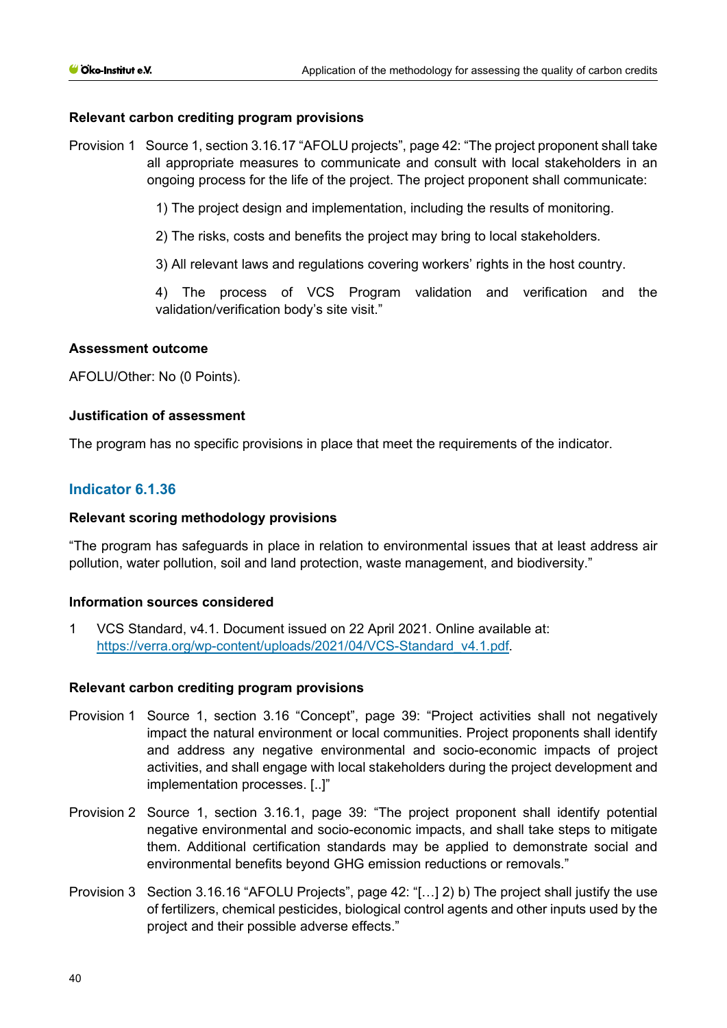## **Relevant carbon crediting program provisions**

Provision 1 Source 1, section 3.16.17 "AFOLU projects", page 42: "The project proponent shall take all appropriate measures to communicate and consult with local stakeholders in an ongoing process for the life of the project. The project proponent shall communicate:

1) The project design and implementation, including the results of monitoring.

2) The risks, costs and benefits the project may bring to local stakeholders.

3) All relevant laws and regulations covering workers' rights in the host country.

4) The process of VCS Program validation and verification and the validation/verification body's site visit."

#### **Assessment outcome**

AFOLU/Other: No (0 Points).

## **Justification of assessment**

The program has no specific provisions in place that meet the requirements of the indicator.

# **Indicator 6.1.36**

## **Relevant scoring methodology provisions**

"The program has safeguards in place in relation to environmental issues that at least address air pollution, water pollution, soil and land protection, waste management, and biodiversity."

#### **Information sources considered**

1 VCS Standard, v4.1. Document issued on 22 April 2021. Online available at: [https://verra.org/wp-content/uploads/2021/04/VCS-Standard\\_v4.1.pdf.](https://verra.org/wp-content/uploads/2021/04/VCS-Standard_v4.1.pdf)

#### **Relevant carbon crediting program provisions**

- Provision 1 Source 1, section 3.16 "Concept", page 39: "Project activities shall not negatively impact the natural environment or local communities. Project proponents shall identify and address any negative environmental and socio-economic impacts of project activities, and shall engage with local stakeholders during the project development and implementation processes. [..]"
- Provision 2 Source 1, section 3.16.1, page 39: "The project proponent shall identify potential negative environmental and socio-economic impacts, and shall take steps to mitigate them. Additional certification standards may be applied to demonstrate social and environmental benefits beyond GHG emission reductions or removals."
- Provision 3 Section 3.16.16 "AFOLU Projects", page 42: "[…] 2) b) The project shall justify the use of fertilizers, chemical pesticides, biological control agents and other inputs used by the project and their possible adverse effects."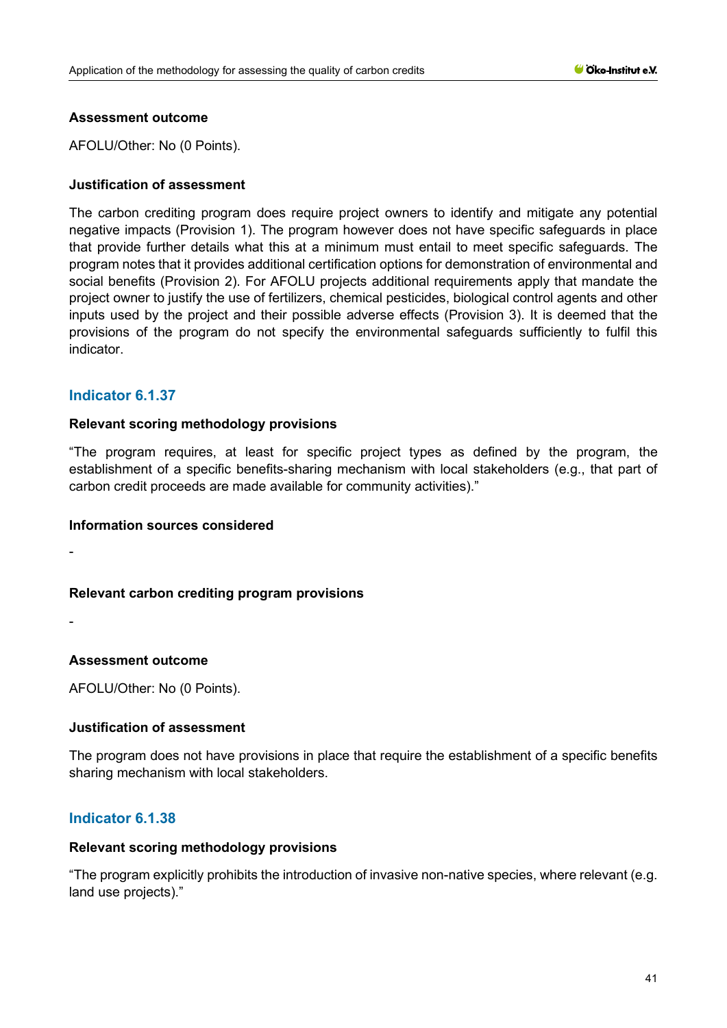## **Assessment outcome**

AFOLU/Other: No (0 Points).

## **Justification of assessment**

The carbon crediting program does require project owners to identify and mitigate any potential negative impacts (Provision 1). The program however does not have specific safeguards in place that provide further details what this at a minimum must entail to meet specific safeguards. The program notes that it provides additional certification options for demonstration of environmental and social benefits (Provision 2). For AFOLU projects additional requirements apply that mandate the project owner to justify the use of fertilizers, chemical pesticides, biological control agents and other inputs used by the project and their possible adverse effects (Provision 3). It is deemed that the provisions of the program do not specify the environmental safeguards sufficiently to fulfil this indicator.

# **Indicator 6.1.37**

## **Relevant scoring methodology provisions**

"The program requires, at least for specific project types as defined by the program, the establishment of a specific benefits-sharing mechanism with local stakeholders (e.g., that part of carbon credit proceeds are made available for community activities)."

#### **Information sources considered**

-

# **Relevant carbon crediting program provisions**

-

# **Assessment outcome**

AFOLU/Other: No (0 Points).

# **Justification of assessment**

The program does not have provisions in place that require the establishment of a specific benefits sharing mechanism with local stakeholders.

# **Indicator 6.1.38**

#### **Relevant scoring methodology provisions**

"The program explicitly prohibits the introduction of invasive non-native species, where relevant (e.g. land use projects)."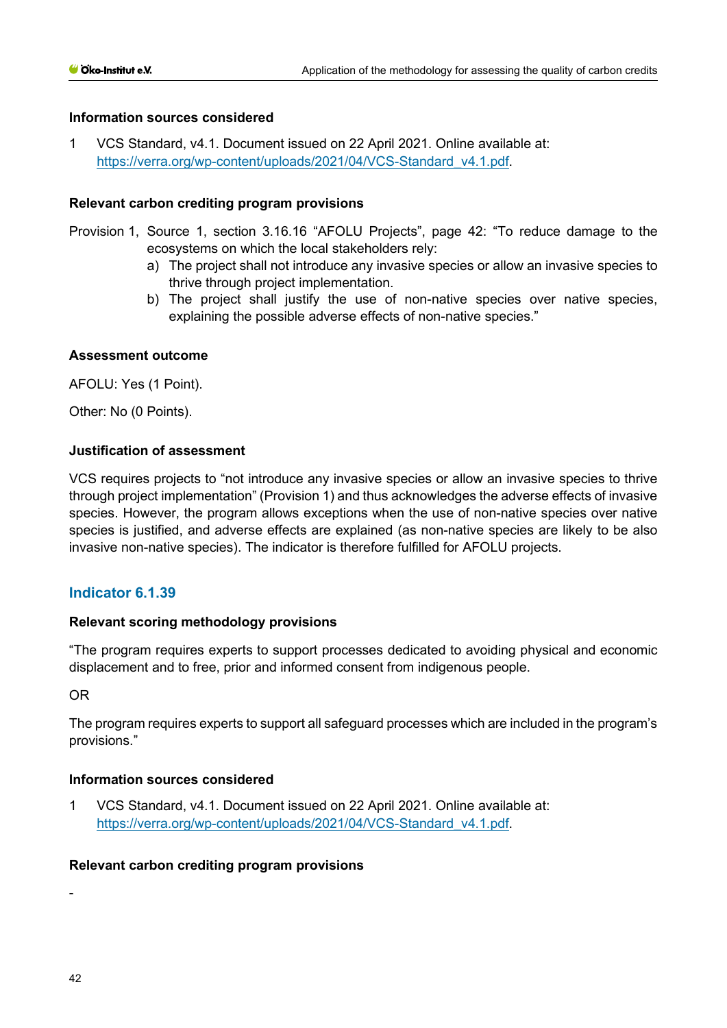1 VCS Standard, v4.1. Document issued on 22 April 2021. Online available at: [https://verra.org/wp-content/uploads/2021/04/VCS-Standard\\_v4.1.pdf.](https://verra.org/wp-content/uploads/2021/04/VCS-Standard_v4.1.pdf)

## **Relevant carbon crediting program provisions**

- Provision 1, Source 1, section 3.16.16 "AFOLU Projects", page 42: "To reduce damage to the ecosystems on which the local stakeholders rely:
	- a) The project shall not introduce any invasive species or allow an invasive species to thrive through project implementation.
	- b) The project shall justify the use of non-native species over native species, explaining the possible adverse effects of non-native species."

## **Assessment outcome**

AFOLU: Yes (1 Point).

Other: No (0 Points).

# **Justification of assessment**

VCS requires projects to "not introduce any invasive species or allow an invasive species to thrive through project implementation" (Provision 1) and thus acknowledges the adverse effects of invasive species. However, the program allows exceptions when the use of non-native species over native species is justified, and adverse effects are explained (as non-native species are likely to be also invasive non-native species). The indicator is therefore fulfilled for AFOLU projects.

# **Indicator 6.1.39**

# **Relevant scoring methodology provisions**

"The program requires experts to support processes dedicated to avoiding physical and economic displacement and to free, prior and informed consent from indigenous people.

### OR

The program requires experts to support all safeguard processes which are included in the program's provisions."

#### **Information sources considered**

1 VCS Standard, v4.1. Document issued on 22 April 2021. Online available at: [https://verra.org/wp-content/uploads/2021/04/VCS-Standard\\_v4.1.pdf.](https://verra.org/wp-content/uploads/2021/04/VCS-Standard_v4.1.pdf)

# **Relevant carbon crediting program provisions**

-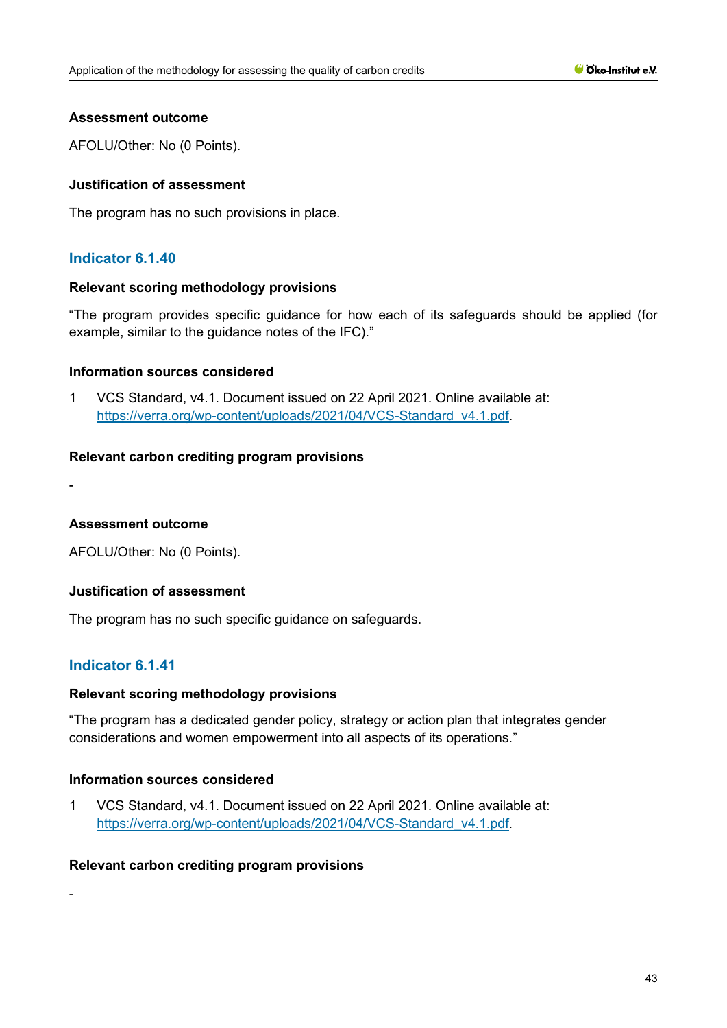## **Assessment outcome**

AFOLU/Other: No (0 Points).

## **Justification of assessment**

The program has no such provisions in place.

# **Indicator 6.1.40**

#### **Relevant scoring methodology provisions**

"The program provides specific guidance for how each of its safeguards should be applied (for example, similar to the guidance notes of the IFC)."

## **Information sources considered**

1 VCS Standard, v4.1. Document issued on 22 April 2021. Online available at: [https://verra.org/wp-content/uploads/2021/04/VCS-Standard\\_v4.1.pdf.](https://verra.org/wp-content/uploads/2021/04/VCS-Standard_v4.1.pdf)

## **Relevant carbon crediting program provisions**

-

#### **Assessment outcome**

AFOLU/Other: No (0 Points).

# **Justification of assessment**

The program has no such specific guidance on safeguards.

# **Indicator 6.1.41**

#### **Relevant scoring methodology provisions**

"The program has a dedicated gender policy, strategy or action plan that integrates gender considerations and women empowerment into all aspects of its operations."

#### **Information sources considered**

1 VCS Standard, v4.1. Document issued on 22 April 2021. Online available at: [https://verra.org/wp-content/uploads/2021/04/VCS-Standard\\_v4.1.pdf.](https://verra.org/wp-content/uploads/2021/04/VCS-Standard_v4.1.pdf)

### **Relevant carbon crediting program provisions**

-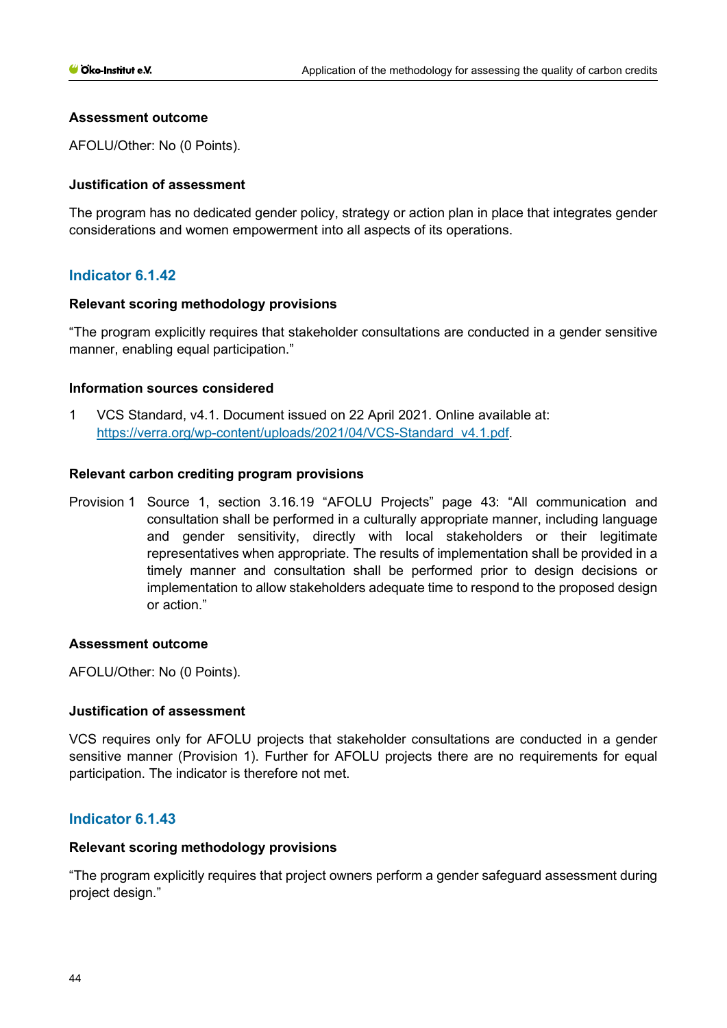## **Assessment outcome**

AFOLU/Other: No (0 Points).

## **Justification of assessment**

The program has no dedicated gender policy, strategy or action plan in place that integrates gender considerations and women empowerment into all aspects of its operations.

# **Indicator 6.1.42**

## **Relevant scoring methodology provisions**

"The program explicitly requires that stakeholder consultations are conducted in a gender sensitive manner, enabling equal participation."

## **Information sources considered**

1 VCS Standard, v4.1. Document issued on 22 April 2021. Online available at: [https://verra.org/wp-content/uploads/2021/04/VCS-Standard\\_v4.1.pdf.](https://verra.org/wp-content/uploads/2021/04/VCS-Standard_v4.1.pdf)

## **Relevant carbon crediting program provisions**

Provision 1 Source 1, section 3.16.19 "AFOLU Projects" page 43: "All communication and consultation shall be performed in a culturally appropriate manner, including language and gender sensitivity, directly with local stakeholders or their legitimate representatives when appropriate. The results of implementation shall be provided in a timely manner and consultation shall be performed prior to design decisions or implementation to allow stakeholders adequate time to respond to the proposed design or action."

#### **Assessment outcome**

AFOLU/Other: No (0 Points).

# **Justification of assessment**

VCS requires only for AFOLU projects that stakeholder consultations are conducted in a gender sensitive manner (Provision 1). Further for AFOLU projects there are no requirements for equal participation. The indicator is therefore not met.

# **Indicator 6.1.43**

#### **Relevant scoring methodology provisions**

"The program explicitly requires that project owners perform a gender safeguard assessment during project design."